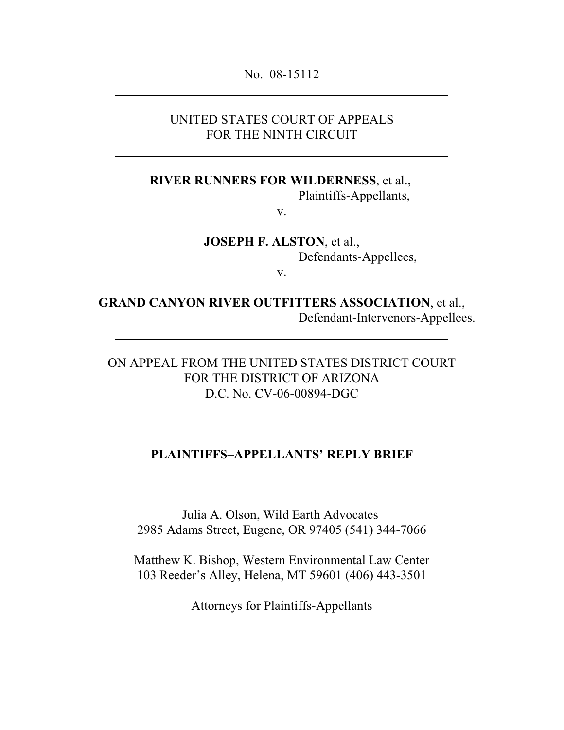No. 08-15112

### UNITED STATES COURT OF APPEALS FOR THE NINTH CIRCUIT

**RIVER RUNNERS FOR WILDERNESS**, et al.,

Plaintiffs-Appellants,

v.

**JOSEPH F. ALSTON**, et al., Defendants-Appellees,

v.

**GRAND CANYON RIVER OUTFITTERS ASSOCIATION**, et al., Defendant-Intervenors-Appellees.

ON APPEAL FROM THE UNITED STATES DISTRICT COURT FOR THE DISTRICT OF ARIZONA D.C. No. CV-06-00894-DGC

### **PLAINTIFFS–APPELLANTS' REPLY BRIEF**

Julia A. Olson, Wild Earth Advocates 2985 Adams Street, Eugene, OR 97405 (541) 344-7066

Matthew K. Bishop, Western Environmental Law Center 103 Reeder's Alley, Helena, MT 59601 (406) 443-3501

Attorneys for Plaintiffs-Appellants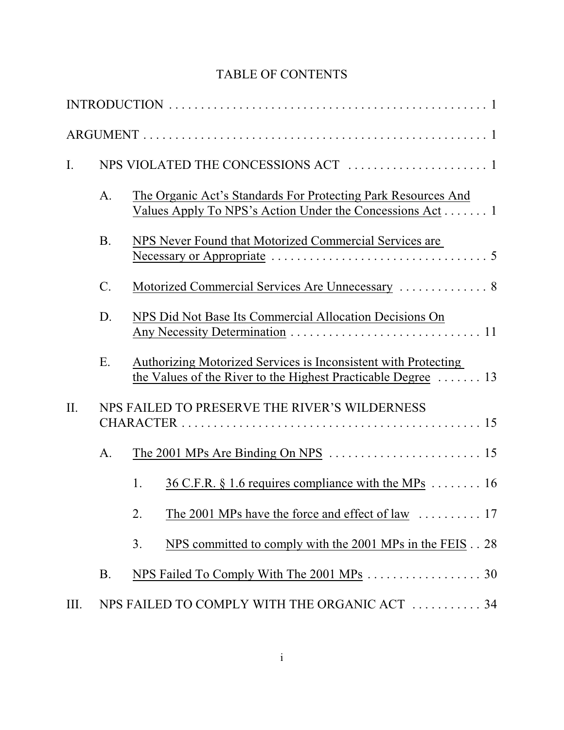# TABLE OF CONTENTS

| I.   |           |                                                                                                                                 |
|------|-----------|---------------------------------------------------------------------------------------------------------------------------------|
|      | A.        | The Organic Act's Standards For Protecting Park Resources And<br>Values Apply To NPS's Action Under the Concessions Act 1       |
|      | <b>B.</b> | NPS Never Found that Motorized Commercial Services are                                                                          |
|      | $C$ .     | Motorized Commercial Services Are Unnecessary  8                                                                                |
|      | D.        | NPS Did Not Base Its Commercial Allocation Decisions On                                                                         |
|      | E.        | Authorizing Motorized Services is Inconsistent with Protecting<br>the Values of the River to the Highest Practicable Degree  13 |
| II.  |           | NPS FAILED TO PRESERVE THE RIVER'S WILDERNESS                                                                                   |
|      | A.        |                                                                                                                                 |
|      |           | 1.<br><u>36 C.F.R. § 1.6 requires compliance with the MPs</u> $\dots \dots$ 16                                                  |
|      |           | 2.                                                                                                                              |
|      |           | NPS committed to comply with the 2001 MPs in the FEIS 28<br>3.                                                                  |
|      | <b>B.</b> | NPS Failed To Comply With The 2001 MPs 30                                                                                       |
| III. |           | NPS FAILED TO COMPLY WITH THE ORGANIC ACT  34                                                                                   |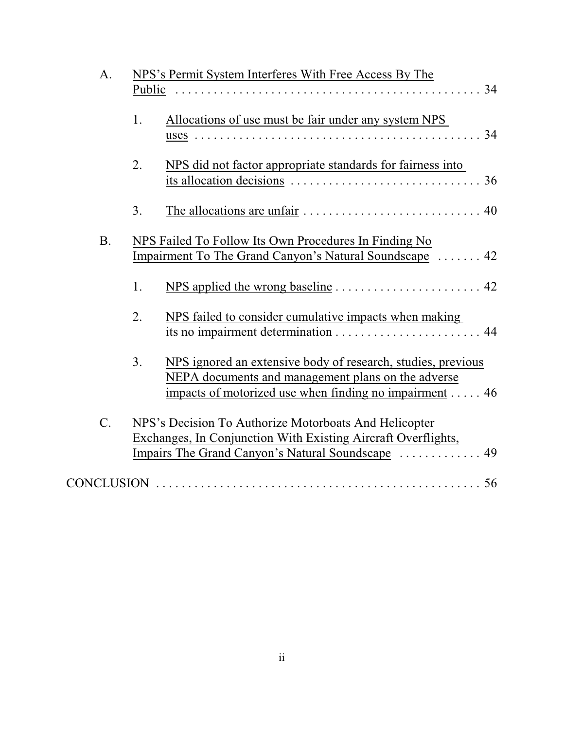| A.              | NPS's Permit System Interferes With Free Access By The                                                                                                                             |  |
|-----------------|------------------------------------------------------------------------------------------------------------------------------------------------------------------------------------|--|
|                 | 34<br><b>Public</b>                                                                                                                                                                |  |
|                 | Allocations of use must be fair under any system NPS<br>1.<br>34                                                                                                                   |  |
|                 | NPS did not factor appropriate standards for fairness into<br>2.<br>36                                                                                                             |  |
|                 | 3.                                                                                                                                                                                 |  |
| <b>B.</b>       | NPS Failed To Follow Its Own Procedures In Finding No<br>Impairment To The Grand Canyon's Natural Soundscape  42                                                                   |  |
|                 | 1.                                                                                                                                                                                 |  |
|                 | 2.<br>NPS failed to consider cumulative impacts when making<br>its no impairment determination<br>44                                                                               |  |
|                 | 3.<br>NPS ignored an extensive body of research, studies, previous<br>NEPA documents and management plans on the adverse<br>impacts of motorized use when finding no impairment 46 |  |
| $\mathcal{C}$ . | NPS's Decision To Authorize Motorboats And Helicopter<br>Exchanges, In Conjunction With Existing Aircraft Overflights,<br>49<br>Impairs The Grand Canyon's Natural Soundscape      |  |
|                 |                                                                                                                                                                                    |  |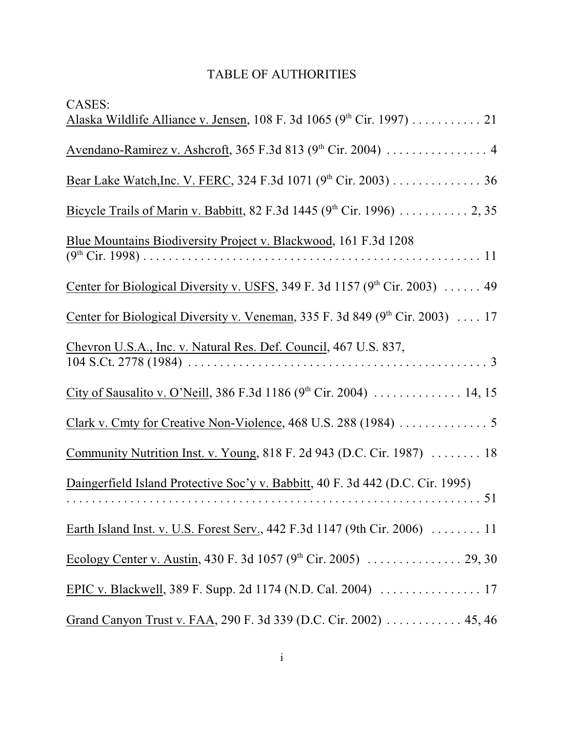# TABLE OF AUTHORITIES

| <b>CASES:</b>                                                                          |
|----------------------------------------------------------------------------------------|
| Alaska Wildlife Alliance v. Jensen, 108 F. 3d 1065 (9th Cir. 1997) 21                  |
|                                                                                        |
| Bear Lake Watch, Inc. V. FERC, 324 F.3d 1071 (9 <sup>th</sup> Cir. 2003) 36            |
| Bicycle Trails of Marin v. Babbitt, 82 F.3d 1445 (9 <sup>th</sup> Cir. 1996) 2, 35     |
| Blue Mountains Biodiversity Project v. Blackwood, 161 F.3d 1208                        |
| <u>Center for Biological Diversity v. USFS</u> , 349 F. 3d 1157 ( $9th$ Cir. 2003)  49 |
| Center for Biological Diversity v. Veneman, 335 F. 3d 849 (9th Cir. 2003)  17          |
| Chevron U.S.A., Inc. v. Natural Res. Def. Council, 467 U.S. 837,                       |
| City of Sausalito v. O'Neill, 386 F.3d 1186 (9 <sup>th</sup> Cir. 2004)  14, 15        |
|                                                                                        |
| Community Nutrition Inst. v. Young, 818 F. 2d 943 (D.C. Cir. 1987)  18                 |
| Daingerfield Island Protective Soc'y v. Babbitt, 40 F. 3d 442 (D.C. Cir. 1995)<br>51   |
| Earth Island Inst. v. U.S. Forest Serv., 442 F.3d 1147 (9th Cir. 2006)  11             |
| Ecology Center v. Austin, 430 F. 3d 1057 (9 <sup>th</sup> Cir. 2005) 29, 30            |
|                                                                                        |
| Grand Canyon Trust v. FAA, 290 F. 3d 339 (D.C. Cir. 2002) 45, 46                       |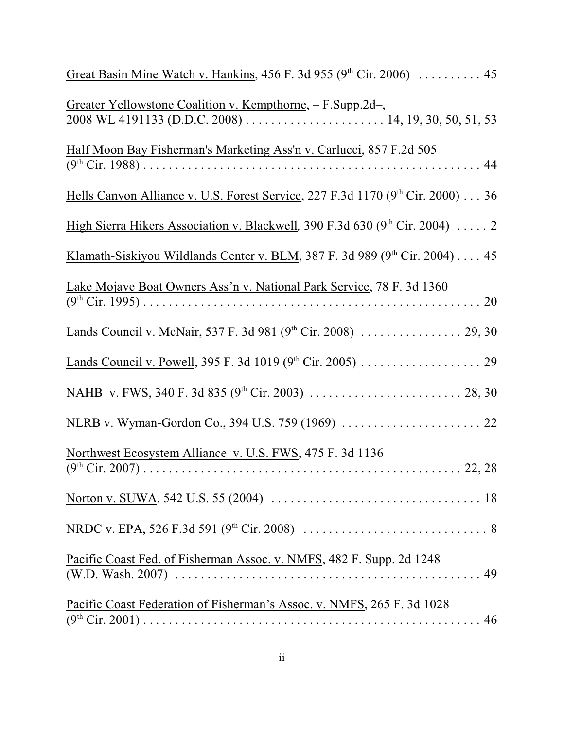| Great Basin Mine Watch v. Hankins, 456 F. 3d 955 (9th Cir. 2006)  45           |
|--------------------------------------------------------------------------------|
| Greater Yellowstone Coalition v. Kempthorne, - F.Supp.2d-,                     |
| Half Moon Bay Fisherman's Marketing Ass'n v. Carlucci, 857 F.2d 505            |
| Hells Canyon Alliance v. U.S. Forest Service, 227 F.3d 1170 (9th Cir. 2000) 36 |
| High Sierra Hikers Association v. Blackwell, 390 F.3d 630 (9th Cir. 2004)  2   |
| Klamath-Siskiyou Wildlands Center v. BLM, 387 F. 3d 989 (9th Cir. 2004) 45     |
| Lake Mojave Boat Owners Ass'n v. National Park Service, 78 F. 3d 1360          |
|                                                                                |
|                                                                                |
|                                                                                |
|                                                                                |
| Northwest Ecosystem Alliance v. U.S. FWS, 475 F. 3d 1136                       |
|                                                                                |
|                                                                                |
| Pacific Coast Fed. of Fisherman Assoc. v. NMFS, 482 F. Supp. 2d 1248           |
| Pacific Coast Federation of Fisherman's Assoc. v. NMFS, 265 F. 3d 1028         |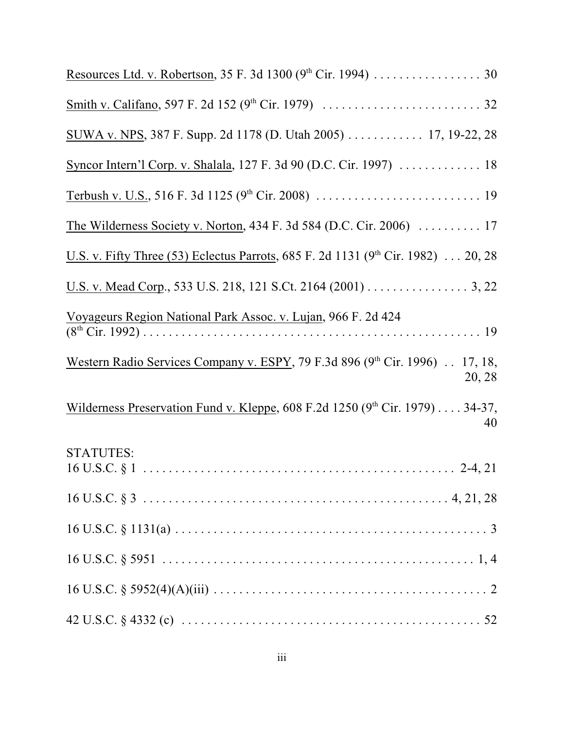| Resources Ltd. v. Robertson, 35 F. 3d 1300 (9 <sup>th</sup> Cir. 1994) 30                    |
|----------------------------------------------------------------------------------------------|
|                                                                                              |
| SUWA v. NPS, 387 F. Supp. 2d 1178 (D. Utah 2005) 17, 19-22, 28                               |
| Syncor Intern'l Corp. v. Shalala, 127 F. 3d 90 (D.C. Cir. 1997)  18                          |
|                                                                                              |
| The Wilderness Society v. Norton, 434 F. 3d 584 (D.C. Cir. 2006)  17                         |
| U.S. v. Fifty Three (53) Eclectus Parrots, 685 F. 2d 1131 (9 <sup>th</sup> Cir. 1982) 20, 28 |
| U.S. v. Mead Corp., 533 U.S. 218, 121 S.Ct. 2164 (2001) 3, 22                                |
| Voyageurs Region National Park Assoc. v. Lujan, 966 F. 2d 424                                |
| Western Radio Services Company v. ESPY, 79 F.3d 896 (9th Cir. 1996) . 17, 18,<br>20, 28      |
| Wilderness Preservation Fund v. Kleppe, 608 F.2d 1250 (9th Cir. 1979) 34-37,<br>40           |
| <b>STATUTES:</b>                                                                             |
|                                                                                              |
|                                                                                              |
|                                                                                              |
|                                                                                              |
|                                                                                              |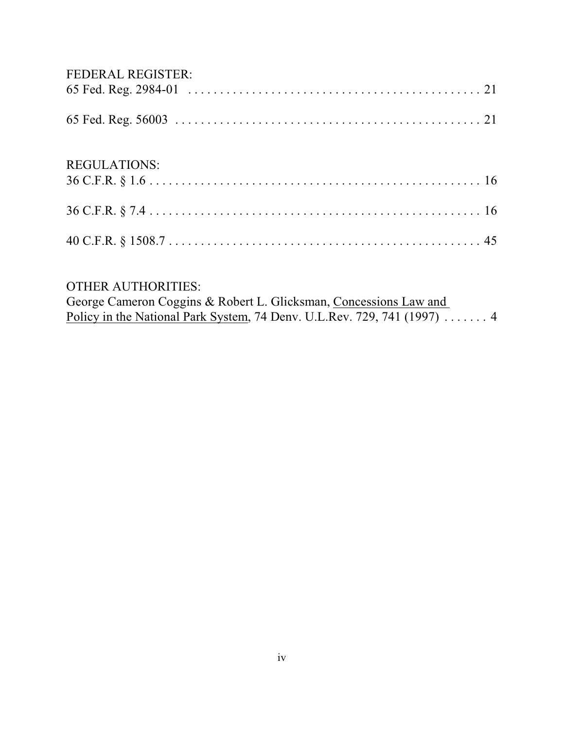# FEDERAL REGISTER:

| <b>REGULATIONS:</b> |  |
|---------------------|--|
|                     |  |
|                     |  |

# OTHER AUTHORITIES:

| George Cameron Coggins & Robert L. Glicksman, Concessions Law and               |  |
|---------------------------------------------------------------------------------|--|
| Policy in the National Park System, 74 Denv. U.L.Rev. 729, 741 (1997) $\dots$ 4 |  |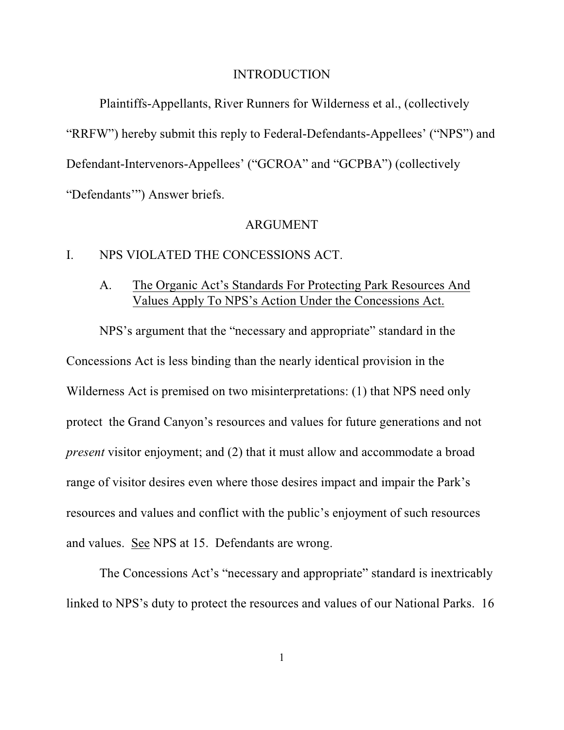#### INTRODUCTION

Plaintiffs-Appellants, River Runners for Wilderness et al., (collectively "RRFW") hereby submit this reply to Federal-Defendants-Appellees' ("NPS") and Defendant-Intervenors-Appellees' ("GCROA" and "GCPBA") (collectively "Defendants'") Answer briefs.

#### ARGUMENT

### I. NPS VIOLATED THE CONCESSIONS ACT.

# A. The Organic Act's Standards For Protecting Park Resources And Values Apply To NPS's Action Under the Concessions Act.

NPS's argument that the "necessary and appropriate" standard in the Concessions Act is less binding than the nearly identical provision in the Wilderness Act is premised on two misinterpretations: (1) that NPS need only protect the Grand Canyon's resources and values for future generations and not *present* visitor enjoyment; and (2) that it must allow and accommodate a broad range of visitor desires even where those desires impact and impair the Park's resources and values and conflict with the public's enjoyment of such resources and values. See NPS at 15. Defendants are wrong.

The Concessions Act's "necessary and appropriate" standard is inextricably linked to NPS's duty to protect the resources and values of our National Parks. 16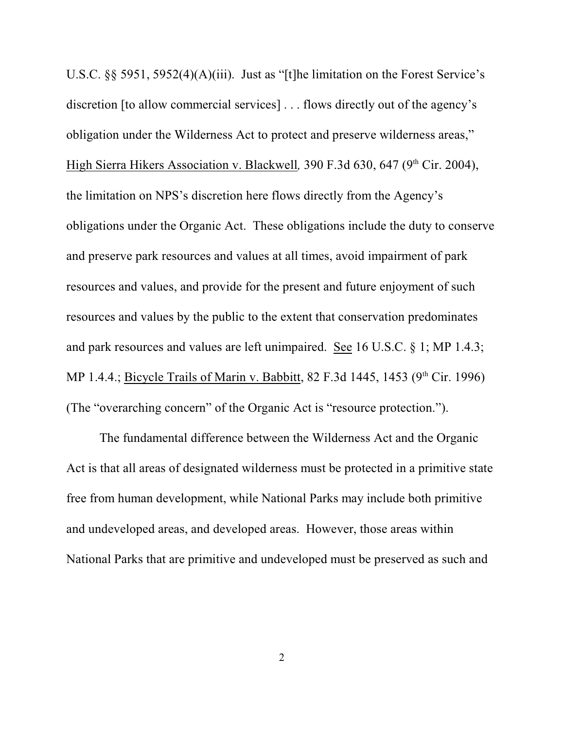U.S.C. §§ 5951, 5952(4)(A)(iii). Just as "[t]he limitation on the Forest Service's discretion [to allow commercial services] . . . flows directly out of the agency's obligation under the Wilderness Act to protect and preserve wilderness areas," High Sierra Hikers Association v. Blackwell, 390 F.3d 630, 647 (9<sup>th</sup> Cir. 2004), the limitation on NPS's discretion here flows directly from the Agency's obligations under the Organic Act. These obligations include the duty to conserve and preserve park resources and values at all times, avoid impairment of park resources and values, and provide for the present and future enjoyment of such resources and values by the public to the extent that conservation predominates and park resources and values are left unimpaired. See 16 U.S.C. § 1; MP 1.4.3; MP 1.4.4.; Bicycle Trails of Marin v. Babbitt, 82 F.3d 1445, 1453 (9<sup>th</sup> Cir. 1996) (The "overarching concern" of the Organic Act is "resource protection.").

The fundamental difference between the Wilderness Act and the Organic Act is that all areas of designated wilderness must be protected in a primitive state free from human development, while National Parks may include both primitive and undeveloped areas, and developed areas. However, those areas within National Parks that are primitive and undeveloped must be preserved as such and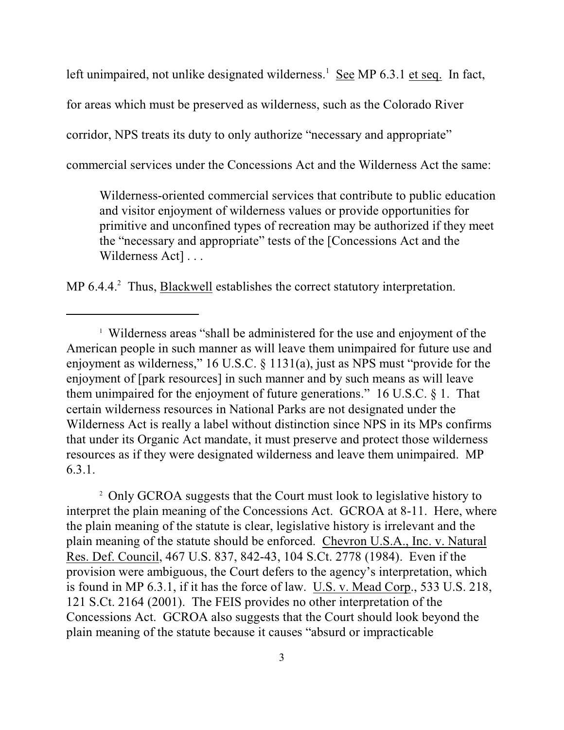left unimpaired, not unlike designated wilderness.<sup>1</sup> See MP 6.3.1 et seq. In fact,

for areas which must be preserved as wilderness, such as the Colorado River

corridor, NPS treats its duty to only authorize "necessary and appropriate"

commercial services under the Concessions Act and the Wilderness Act the same:

Wilderness-oriented commercial services that contribute to public education and visitor enjoyment of wilderness values or provide opportunities for primitive and unconfined types of recreation may be authorized if they meet the "necessary and appropriate" tests of the [Concessions Act and the Wilderness Act]...

MP 6.4.4.<sup>2</sup> Thus, Blackwell establishes the correct statutory interpretation.

<sup>2</sup> Only GCROA suggests that the Court must look to legislative history to interpret the plain meaning of the Concessions Act. GCROA at 8-11. Here, where the plain meaning of the statute is clear, legislative history is irrelevant and the plain meaning of the statute should be enforced. Chevron U.S.A., Inc. v. Natural Res. Def. Council, 467 U.S. 837, 842-43, 104 S.Ct. 2778 (1984). Even if the provision were ambiguous, the Court defers to the agency's interpretation, which is found in MP 6.3.1, if it has the force of law. U.S. v. Mead Corp., 533 U.S. 218, 121 S.Ct. 2164 (2001). The FEIS provides no other interpretation of the Concessions Act. GCROA also suggests that the Court should look beyond the plain meaning of the statute because it causes "absurd or impracticable

<sup>&</sup>lt;sup>1</sup> Wilderness areas "shall be administered for the use and enjoyment of the American people in such manner as will leave them unimpaired for future use and enjoyment as wilderness," 16 U.S.C. § 1131(a), just as NPS must "provide for the enjoyment of [park resources] in such manner and by such means as will leave them unimpaired for the enjoyment of future generations." 16 U.S.C. § 1. That certain wilderness resources in National Parks are not designated under the Wilderness Act is really a label without distinction since NPS in its MPs confirms that under its Organic Act mandate, it must preserve and protect those wilderness resources as if they were designated wilderness and leave them unimpaired. MP 6.3.1.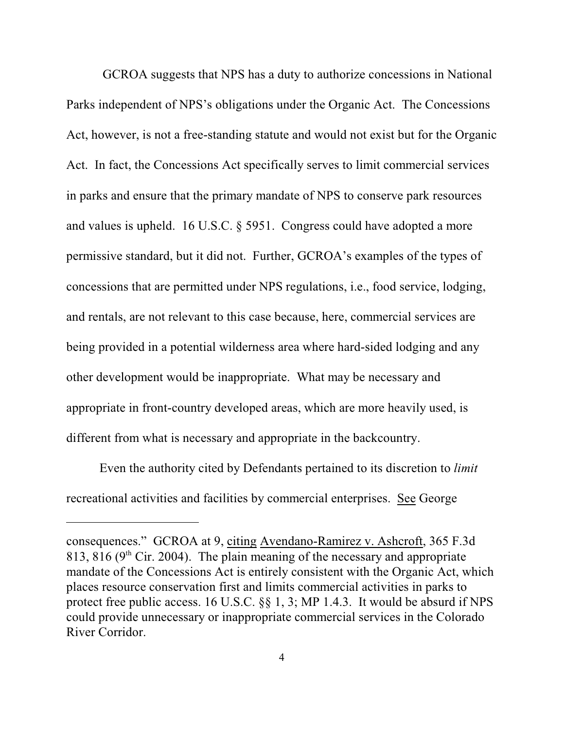GCROA suggests that NPS has a duty to authorize concessions in National Parks independent of NPS's obligations under the Organic Act. The Concessions Act, however, is not a free-standing statute and would not exist but for the Organic Act. In fact, the Concessions Act specifically serves to limit commercial services in parks and ensure that the primary mandate of NPS to conserve park resources and values is upheld. 16 U.S.C. § 5951. Congress could have adopted a more permissive standard, but it did not. Further, GCROA's examples of the types of concessions that are permitted under NPS regulations, i.e., food service, lodging, and rentals, are not relevant to this case because, here, commercial services are being provided in a potential wilderness area where hard-sided lodging and any other development would be inappropriate. What may be necessary and appropriate in front-country developed areas, which are more heavily used, is different from what is necessary and appropriate in the backcountry.

Even the authority cited by Defendants pertained to its discretion to *limit* recreational activities and facilities by commercial enterprises. See George

consequences." GCROA at 9, citing Avendano-Ramirez v. Ashcroft, 365 F.3d 813, 816 ( $9<sup>th</sup>$  Cir. 2004). The plain meaning of the necessary and appropriate mandate of the Concessions Act is entirely consistent with the Organic Act, which places resource conservation first and limits commercial activities in parks to protect free public access. 16 U.S.C. §§ 1, 3; MP 1.4.3. It would be absurd if NPS could provide unnecessary or inappropriate commercial services in the Colorado River Corridor.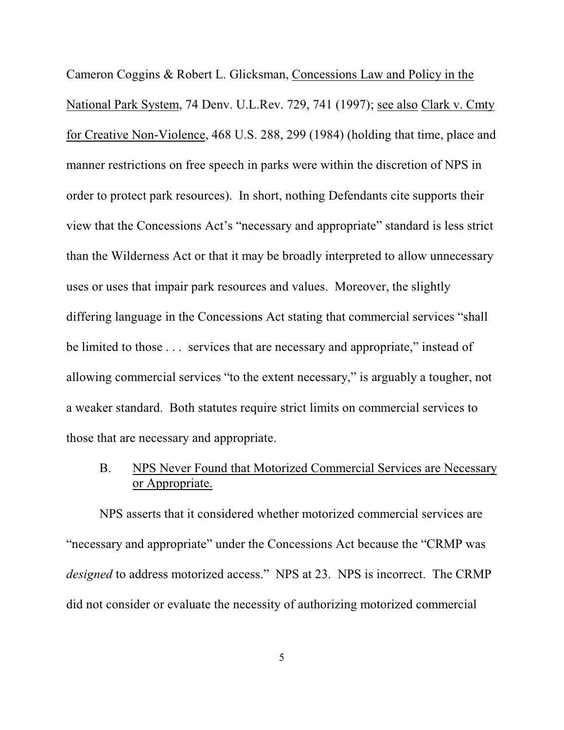Cameron Coggins & Robert L. Glicksman, Concessions Law and Policy in the National Park System, 74 Denv. U.L.Rev. 729, 741 (1997); see also Clark v. Cmty for Creative Non-Violence, 468 U.S. 288, 299 (1984) (holding that time, place and manner restrictions on free speech in parks were within the discretion of NPS in order to protect park resources). In short, nothing Defendants cite supports their view that the Concessions Act's "necessary and appropriate" standard is less strict than the Wilderness Act or that it may be broadly interpreted to allow unnecessary uses or uses that impair park resources and values. Moreover, the slightly differing language in the Concessions Act stating that commercial services "shall be limited to those . . . services that are necessary and appropriate," instead of allowing commercial services "to the extent necessary," is arguably a tougher, not a weaker standard. Both statutes require strict limits on commercial services to those that are necessary and appropriate.

# B. NPS Never Found that Motorized Commercial Services are Necessary or Appropriate.

NPS asserts that it considered whether motorized commercial services are "necessary and appropriate" under the Concessions Act because the "CRMP was *designed* to address motorized access." NPS at 23. NPS is incorrect. The CRMP did not consider or evaluate the necessity of authorizing motorized commercial

5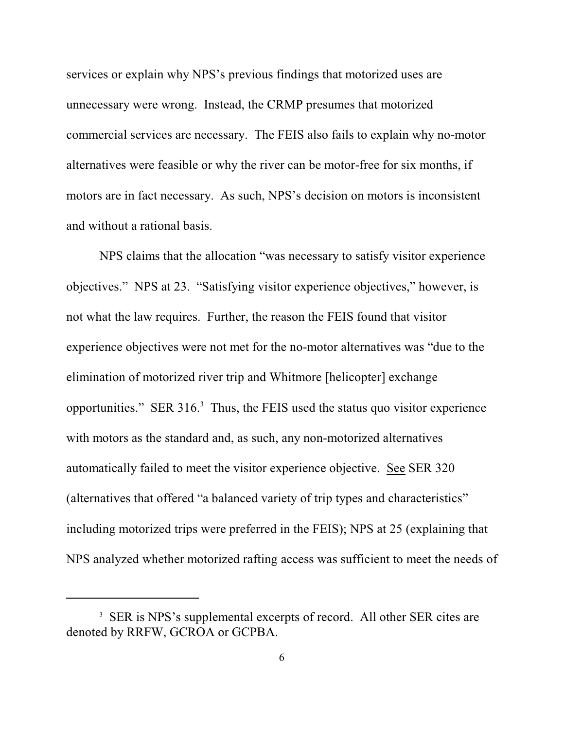services or explain why NPS's previous findings that motorized uses are unnecessary were wrong. Instead, the CRMP presumes that motorized commercial services are necessary. The FEIS also fails to explain why no-motor alternatives were feasible or why the river can be motor-free for six months, if motors are in fact necessary. As such, NPS's decision on motors is inconsistent and without a rational basis.

NPS claims that the allocation "was necessary to satisfy visitor experience objectives." NPS at 23. "Satisfying visitor experience objectives," however, is not what the law requires. Further, the reason the FEIS found that visitor experience objectives were not met for the no-motor alternatives was "due to the elimination of motorized river trip and Whitmore [helicopter] exchange opportunities." SER 316. $<sup>3</sup>$  Thus, the FEIS used the status quo visitor experience</sup> with motors as the standard and, as such, any non-motorized alternatives automatically failed to meet the visitor experience objective. See SER 320 (alternatives that offered "a balanced variety of trip types and characteristics" including motorized trips were preferred in the FEIS); NPS at 25 (explaining that NPS analyzed whether motorized rafting access was sufficient to meet the needs of

<sup>&</sup>lt;sup>3</sup> SER is NPS's supplemental excerpts of record. All other SER cites are denoted by RRFW, GCROA or GCPBA.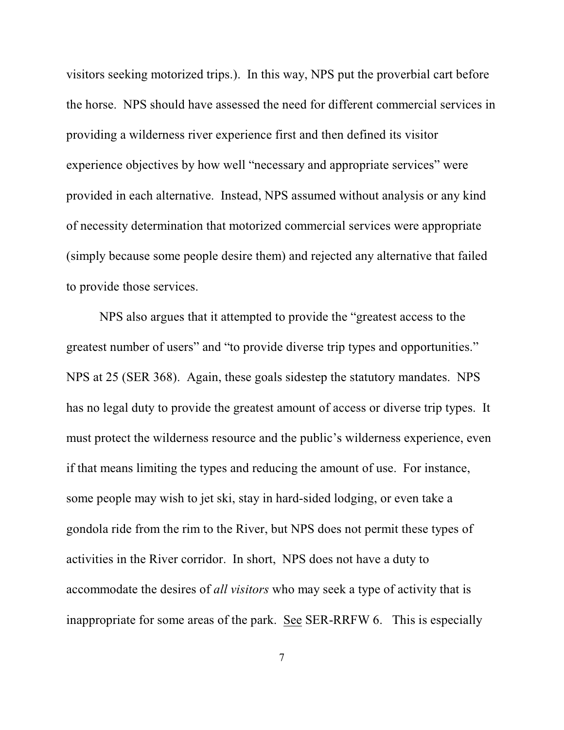visitors seeking motorized trips.). In this way, NPS put the proverbial cart before the horse. NPS should have assessed the need for different commercial services in providing a wilderness river experience first and then defined its visitor experience objectives by how well "necessary and appropriate services" were provided in each alternative. Instead, NPS assumed without analysis or any kind of necessity determination that motorized commercial services were appropriate (simply because some people desire them) and rejected any alternative that failed to provide those services.

NPS also argues that it attempted to provide the "greatest access to the greatest number of users" and "to provide diverse trip types and opportunities." NPS at 25 (SER 368). Again, these goals sidestep the statutory mandates. NPS has no legal duty to provide the greatest amount of access or diverse trip types. It must protect the wilderness resource and the public's wilderness experience, even if that means limiting the types and reducing the amount of use. For instance, some people may wish to jet ski, stay in hard-sided lodging, or even take a gondola ride from the rim to the River, but NPS does not permit these types of activities in the River corridor. In short, NPS does not have a duty to accommodate the desires of *all visitors* who may seek a type of activity that is inappropriate for some areas of the park. See SER-RRFW 6. This is especially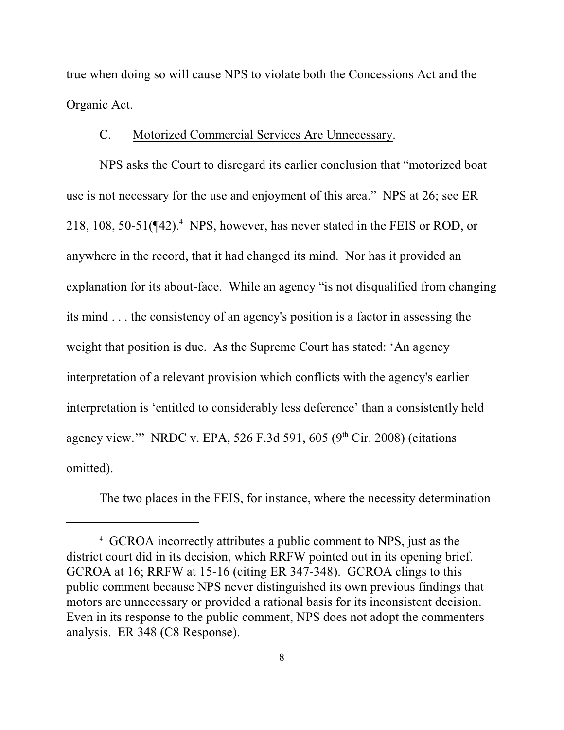true when doing so will cause NPS to violate both the Concessions Act and the Organic Act.

### C. Motorized Commercial Services Are Unnecessary.

NPS asks the Court to disregard its earlier conclusion that "motorized boat use is not necessary for the use and enjoyment of this area." NPS at 26; see ER 218, 108, 50-51( $\P$ 42).<sup>4</sup> NPS, however, has never stated in the FEIS or ROD, or anywhere in the record, that it had changed its mind. Nor has it provided an explanation for its about-face. While an agency "is not disqualified from changing its mind . . . the consistency of an agency's position is a factor in assessing the weight that position is due. As the Supreme Court has stated: 'An agency interpretation of a relevant provision which conflicts with the agency's earlier interpretation is 'entitled to considerably less deference' than a consistently held agency view." NRDC v. EPA, 526 F.3d 591, 605 (9<sup>th</sup> Cir. 2008) (citations omitted).

The two places in the FEIS, for instance, where the necessity determination

GCROA incorrectly attributes a public comment to NPS, just as the 4 district court did in its decision, which RRFW pointed out in its opening brief. GCROA at 16; RRFW at 15-16 (citing ER 347-348). GCROA clings to this public comment because NPS never distinguished its own previous findings that motors are unnecessary or provided a rational basis for its inconsistent decision. Even in its response to the public comment, NPS does not adopt the commenters analysis. ER 348 (C8 Response).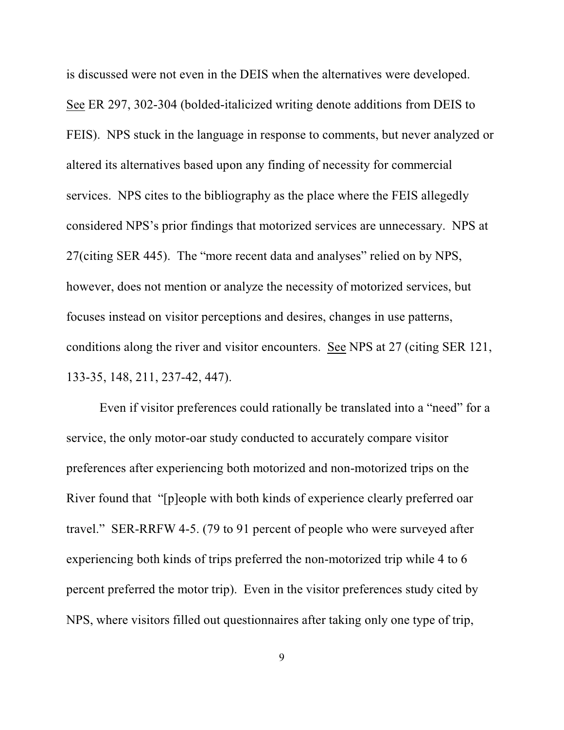is discussed were not even in the DEIS when the alternatives were developed. See ER 297, 302-304 (bolded-italicized writing denote additions from DEIS to FEIS). NPS stuck in the language in response to comments, but never analyzed or altered its alternatives based upon any finding of necessity for commercial services. NPS cites to the bibliography as the place where the FEIS allegedly considered NPS's prior findings that motorized services are unnecessary. NPS at 27(citing SER 445). The "more recent data and analyses" relied on by NPS, however, does not mention or analyze the necessity of motorized services, but focuses instead on visitor perceptions and desires, changes in use patterns, conditions along the river and visitor encounters. See NPS at 27 (citing SER 121, 133-35, 148, 211, 237-42, 447).

Even if visitor preferences could rationally be translated into a "need" for a service, the only motor-oar study conducted to accurately compare visitor preferences after experiencing both motorized and non-motorized trips on the River found that "[p]eople with both kinds of experience clearly preferred oar travel." SER-RRFW 4-5. (79 to 91 percent of people who were surveyed after experiencing both kinds of trips preferred the non-motorized trip while 4 to 6 percent preferred the motor trip). Even in the visitor preferences study cited by NPS, where visitors filled out questionnaires after taking only one type of trip,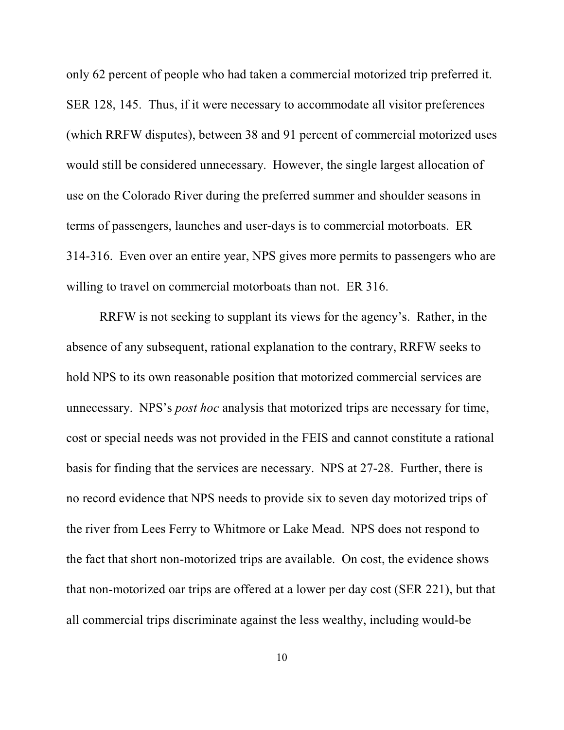only 62 percent of people who had taken a commercial motorized trip preferred it. SER 128, 145. Thus, if it were necessary to accommodate all visitor preferences (which RRFW disputes), between 38 and 91 percent of commercial motorized uses would still be considered unnecessary. However, the single largest allocation of use on the Colorado River during the preferred summer and shoulder seasons in terms of passengers, launches and user-days is to commercial motorboats. ER 314-316. Even over an entire year, NPS gives more permits to passengers who are willing to travel on commercial motorboats than not. ER 316.

RRFW is not seeking to supplant its views for the agency's. Rather, in the absence of any subsequent, rational explanation to the contrary, RRFW seeks to hold NPS to its own reasonable position that motorized commercial services are unnecessary. NPS's *post hoc* analysis that motorized trips are necessary for time, cost or special needs was not provided in the FEIS and cannot constitute a rational basis for finding that the services are necessary. NPS at 27-28. Further, there is no record evidence that NPS needs to provide six to seven day motorized trips of the river from Lees Ferry to Whitmore or Lake Mead. NPS does not respond to the fact that short non-motorized trips are available. On cost, the evidence shows that non-motorized oar trips are offered at a lower per day cost (SER 221), but that all commercial trips discriminate against the less wealthy, including would-be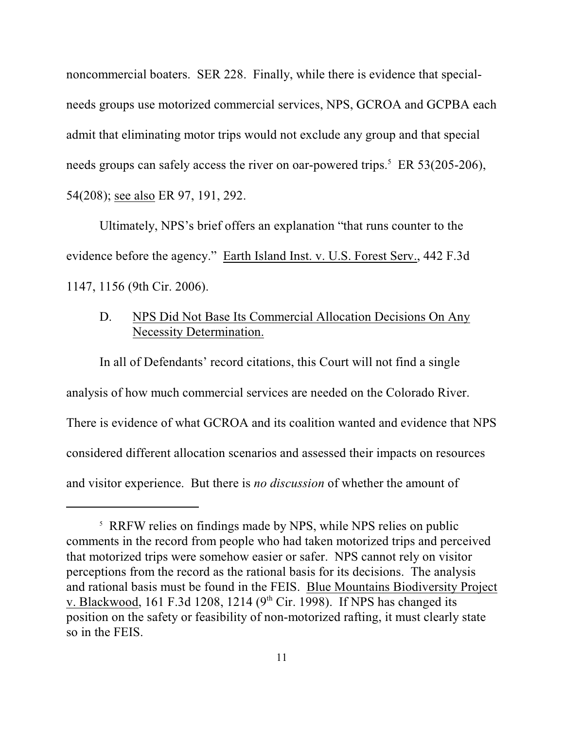noncommercial boaters. SER 228. Finally, while there is evidence that specialneeds groups use motorized commercial services, NPS, GCROA and GCPBA each admit that eliminating motor trips would not exclude any group and that special needs groups can safely access the river on oar-powered trips.<sup> $5$ </sup> ER 53(205-206), 54(208); see also ER 97, 191, 292.

Ultimately, NPS's brief offers an explanation "that runs counter to the evidence before the agency." Earth Island Inst. v. U.S. Forest Serv., 442 F.3d 1147, 1156 (9th Cir. 2006).

# D. NPS Did Not Base Its Commercial Allocation Decisions On Any Necessity Determination.

In all of Defendants' record citations, this Court will not find a single analysis of how much commercial services are needed on the Colorado River. There is evidence of what GCROA and its coalition wanted and evidence that NPS considered different allocation scenarios and assessed their impacts on resources and visitor experience. But there is *no discussion* of whether the amount of

<sup>&</sup>lt;sup>5</sup> RRFW relies on findings made by NPS, while NPS relies on public comments in the record from people who had taken motorized trips and perceived that motorized trips were somehow easier or safer. NPS cannot rely on visitor perceptions from the record as the rational basis for its decisions. The analysis and rational basis must be found in the FEIS. Blue Mountains Biodiversity Project v. Blackwood, 161 F.3d 1208, 1214 ( $9<sup>th</sup>$  Cir. 1998). If NPS has changed its position on the safety or feasibility of non-motorized rafting, it must clearly state so in the FEIS.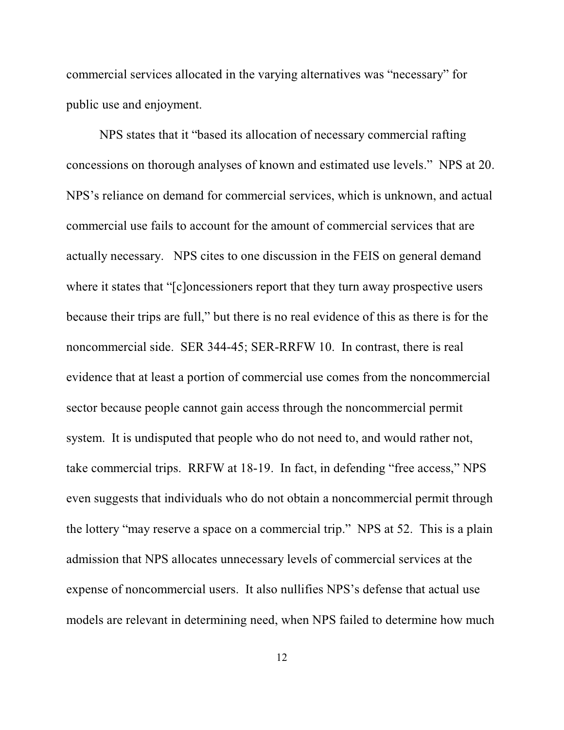commercial services allocated in the varying alternatives was "necessary" for public use and enjoyment.

NPS states that it "based its allocation of necessary commercial rafting concessions on thorough analyses of known and estimated use levels." NPS at 20. NPS's reliance on demand for commercial services, which is unknown, and actual commercial use fails to account for the amount of commercial services that are actually necessary. NPS cites to one discussion in the FEIS on general demand where it states that "[c]oncessioners report that they turn away prospective users because their trips are full," but there is no real evidence of this as there is for the noncommercial side. SER 344-45; SER-RRFW 10. In contrast, there is real evidence that at least a portion of commercial use comes from the noncommercial sector because people cannot gain access through the noncommercial permit system. It is undisputed that people who do not need to, and would rather not, take commercial trips. RRFW at 18-19. In fact, in defending "free access," NPS even suggests that individuals who do not obtain a noncommercial permit through the lottery "may reserve a space on a commercial trip." NPS at 52. This is a plain admission that NPS allocates unnecessary levels of commercial services at the expense of noncommercial users. It also nullifies NPS's defense that actual use models are relevant in determining need, when NPS failed to determine how much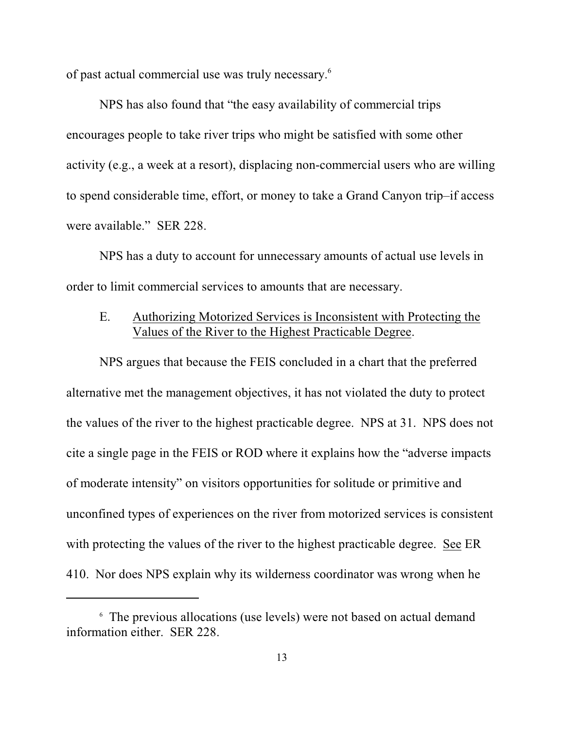of past actual commercial use was truly necessary.<sup>6</sup>

NPS has also found that "the easy availability of commercial trips encourages people to take river trips who might be satisfied with some other activity (e.g., a week at a resort), displacing non-commercial users who are willing to spend considerable time, effort, or money to take a Grand Canyon trip–if access were available." SER 228.

NPS has a duty to account for unnecessary amounts of actual use levels in order to limit commercial services to amounts that are necessary.

# E. Authorizing Motorized Services is Inconsistent with Protecting the Values of the River to the Highest Practicable Degree.

NPS argues that because the FEIS concluded in a chart that the preferred alternative met the management objectives, it has not violated the duty to protect the values of the river to the highest practicable degree. NPS at 31. NPS does not cite a single page in the FEIS or ROD where it explains how the "adverse impacts of moderate intensity" on visitors opportunities for solitude or primitive and unconfined types of experiences on the river from motorized services is consistent with protecting the values of the river to the highest practicable degree. See ER 410. Nor does NPS explain why its wilderness coordinator was wrong when he

The previous allocations (use levels) were not based on actual demand 6 information either. SER 228.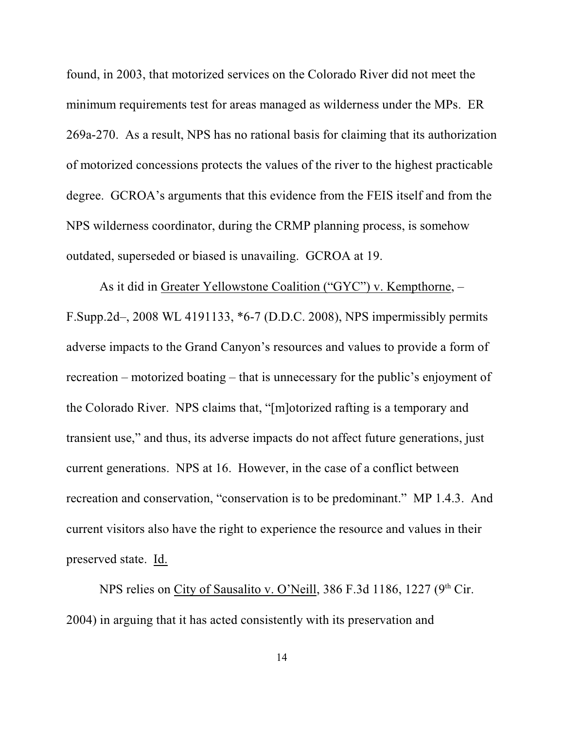found, in 2003, that motorized services on the Colorado River did not meet the minimum requirements test for areas managed as wilderness under the MPs. ER 269a-270. As a result, NPS has no rational basis for claiming that its authorization of motorized concessions protects the values of the river to the highest practicable degree. GCROA's arguments that this evidence from the FEIS itself and from the NPS wilderness coordinator, during the CRMP planning process, is somehow outdated, superseded or biased is unavailing. GCROA at 19.

As it did in Greater Yellowstone Coalition ("GYC") v. Kempthorne, – F.Supp.2d–, 2008 WL 4191133, \*6-7 (D.D.C. 2008), NPS impermissibly permits adverse impacts to the Grand Canyon's resources and values to provide a form of recreation – motorized boating – that is unnecessary for the public's enjoyment of the Colorado River. NPS claims that, "[m]otorized rafting is a temporary and transient use," and thus, its adverse impacts do not affect future generations, just current generations. NPS at 16. However, in the case of a conflict between recreation and conservation, "conservation is to be predominant." MP 1.4.3. And current visitors also have the right to experience the resource and values in their preserved state. Id.

NPS relies on City of Sausalito v. O'Neill, 386 F.3d 1186, 1227 ( $9<sup>th</sup>$  Cir. 2004) in arguing that it has acted consistently with its preservation and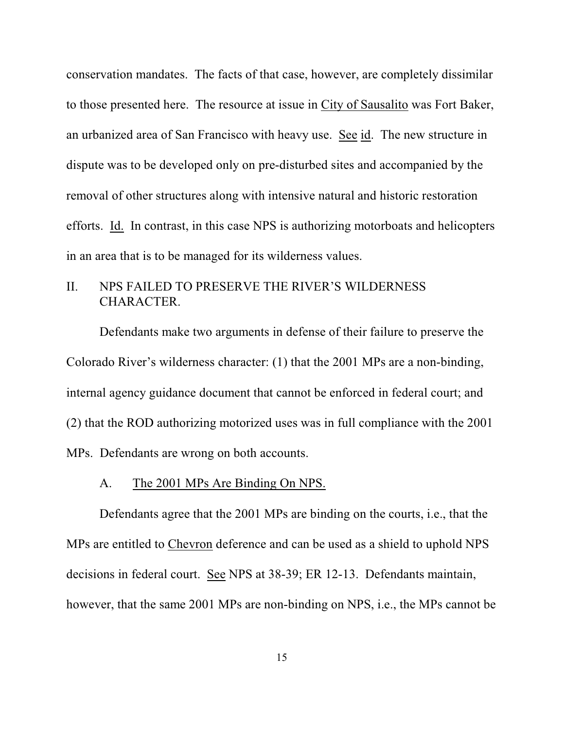conservation mandates. The facts of that case, however, are completely dissimilar to those presented here. The resource at issue in City of Sausalito was Fort Baker, an urbanized area of San Francisco with heavy use. See id. The new structure in dispute was to be developed only on pre-disturbed sites and accompanied by the removal of other structures along with intensive natural and historic restoration efforts. Id. In contrast, in this case NPS is authorizing motorboats and helicopters in an area that is to be managed for its wilderness values.

# II. NPS FAILED TO PRESERVE THE RIVER'S WILDERNESS CHARACTER.

Defendants make two arguments in defense of their failure to preserve the Colorado River's wilderness character: (1) that the 2001 MPs are a non-binding, internal agency guidance document that cannot be enforced in federal court; and (2) that the ROD authorizing motorized uses was in full compliance with the 2001 MPs. Defendants are wrong on both accounts.

#### A. The 2001 MPs Are Binding On NPS.

Defendants agree that the 2001 MPs are binding on the courts, i.e., that the MPs are entitled to Chevron deference and can be used as a shield to uphold NPS decisions in federal court. See NPS at 38-39; ER 12-13. Defendants maintain, however, that the same 2001 MPs are non-binding on NPS, i.e., the MPs cannot be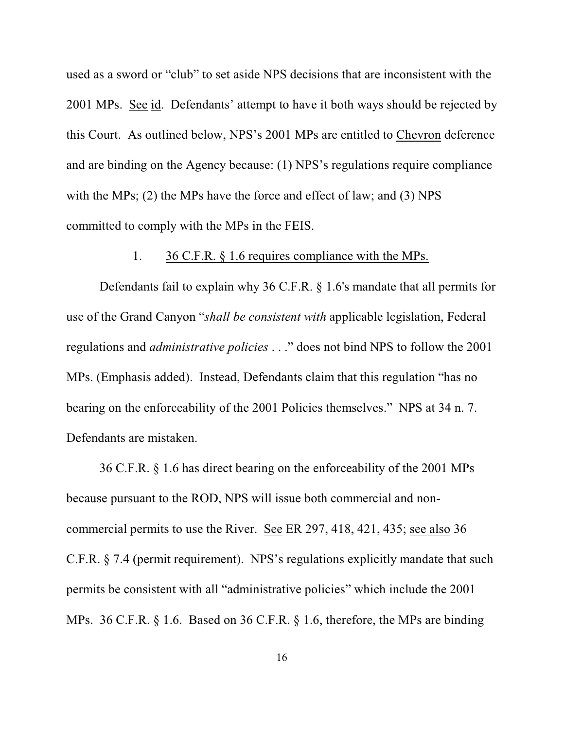used as a sword or "club" to set aside NPS decisions that are inconsistent with the 2001 MPs. See id. Defendants' attempt to have it both ways should be rejected by this Court. As outlined below, NPS's 2001 MPs are entitled to Chevron deference and are binding on the Agency because: (1) NPS's regulations require compliance with the MPs; (2) the MPs have the force and effect of law; and (3) NPS committed to comply with the MPs in the FEIS.

#### 1. 36 C.F.R. § 1.6 requires compliance with the MPs.

Defendants fail to explain why 36 C.F.R. § 1.6's mandate that all permits for use of the Grand Canyon "*shall be consistent with* applicable legislation, Federal regulations and *administrative policies* . . ." does not bind NPS to follow the 2001 MPs. (Emphasis added). Instead, Defendants claim that this regulation "has no bearing on the enforceability of the 2001 Policies themselves." NPS at 34 n. 7. Defendants are mistaken.

36 C.F.R. § 1.6 has direct bearing on the enforceability of the 2001 MPs because pursuant to the ROD, NPS will issue both commercial and noncommercial permits to use the River. See ER 297, 418, 421, 435; see also 36 C.F.R. § 7.4 (permit requirement). NPS's regulations explicitly mandate that such permits be consistent with all "administrative policies" which include the 2001 MPs. 36 C.F.R. § 1.6. Based on 36 C.F.R. § 1.6, therefore, the MPs are binding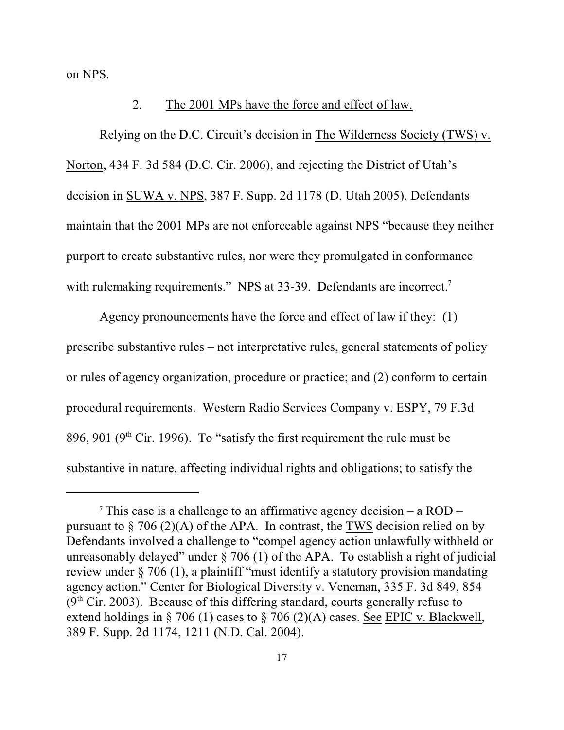on NPS.

#### 2. The 2001 MPs have the force and effect of law.

Relying on the D.C. Circuit's decision in The Wilderness Society (TWS) v. Norton, 434 F. 3d 584 (D.C. Cir. 2006), and rejecting the District of Utah's decision in SUWA v. NPS, 387 F. Supp. 2d 1178 (D. Utah 2005), Defendants maintain that the 2001 MPs are not enforceable against NPS "because they neither purport to create substantive rules, nor were they promulgated in conformance with rulemaking requirements." NPS at 33-39. Defendants are incorrect.<sup>7</sup>

Agency pronouncements have the force and effect of law if they: (1) prescribe substantive rules – not interpretative rules, general statements of policy or rules of agency organization, procedure or practice; and (2) conform to certain procedural requirements. Western Radio Services Company v. ESPY, 79 F.3d 896, 901 ( $9<sup>th</sup>$  Cir. 1996). To "satisfy the first requirement the rule must be substantive in nature, affecting individual rights and obligations; to satisfy the

<sup>&</sup>lt;sup>7</sup> This case is a challenge to an affirmative agency decision – a ROD – pursuant to  $\S$  706 (2)(A) of the APA. In contrast, the TWS decision relied on by Defendants involved a challenge to "compel agency action unlawfully withheld or unreasonably delayed" under  $\S$  706 (1) of the APA. To establish a right of judicial review under § 706 (1), a plaintiff "must identify a statutory provision mandating agency action." Center for Biological Diversity v. Veneman, 335 F. 3d 849, 854  $(9<sup>th</sup> Cir. 2003)$ . Because of this differing standard, courts generally refuse to extend holdings in § 706 (1) cases to § 706 (2)(A) cases. See EPIC v. Blackwell, 389 F. Supp. 2d 1174, 1211 (N.D. Cal. 2004).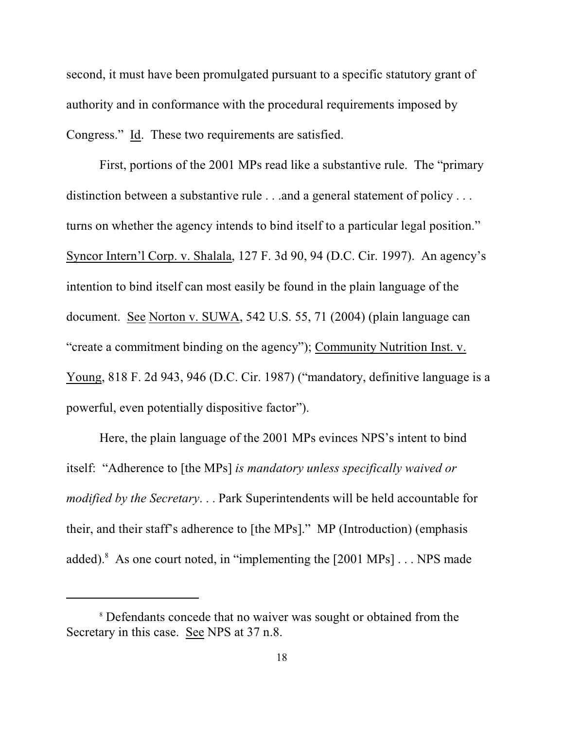second, it must have been promulgated pursuant to a specific statutory grant of authority and in conformance with the procedural requirements imposed by Congress." Id. These two requirements are satisfied.

First, portions of the 2001 MPs read like a substantive rule. The "primary distinction between a substantive rule . . . and a general statement of policy . . . turns on whether the agency intends to bind itself to a particular legal position." Syncor Intern'l Corp. v. Shalala, 127 F. 3d 90, 94 (D.C. Cir. 1997). An agency's intention to bind itself can most easily be found in the plain language of the document. See Norton v. SUWA, 542 U.S. 55, 71 (2004) (plain language can "create a commitment binding on the agency"); Community Nutrition Inst. v. Young, 818 F. 2d 943, 946 (D.C. Cir. 1987) ("mandatory, definitive language is a powerful, even potentially dispositive factor").

Here, the plain language of the 2001 MPs evinces NPS's intent to bind itself: "Adherence to [the MPs] *is mandatory unless specifically waived or modified by the Secretary*. . . Park Superintendents will be held accountable for their, and their staff's adherence to [the MPs]." MP (Introduction) (emphasis added). <sup>8</sup> As one court noted, in "implementing the  $[2001 \text{ MPs}] \dots \text{NPS}$  made

<sup>&</sup>lt;sup>8</sup> Defendants concede that no waiver was sought or obtained from the Secretary in this case. See NPS at 37 n.8.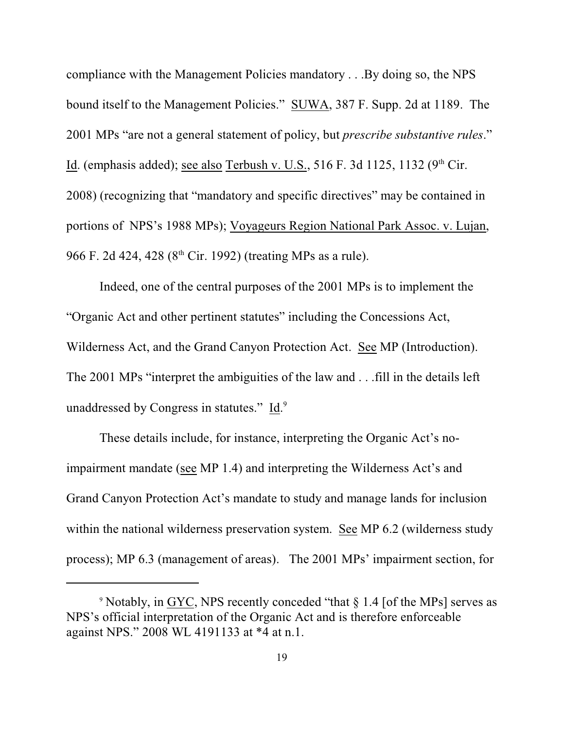compliance with the Management Policies mandatory . . .By doing so, the NPS bound itself to the Management Policies." SUWA, 387 F. Supp. 2d at 1189. The 2001 MPs "are not a general statement of policy, but *prescribe substantive rules*." Id. (emphasis added); see also Terbush v. U.S., 516 F. 3d 1125, 1132 ( $9<sup>th</sup>$  Cir. 2008) (recognizing that "mandatory and specific directives" may be contained in portions of NPS's 1988 MPs); Voyageurs Region National Park Assoc. v. Lujan, 966 F. 2d 424, 428 ( $8<sup>th</sup>$  Cir. 1992) (treating MPs as a rule).

Indeed, one of the central purposes of the 2001 MPs is to implement the "Organic Act and other pertinent statutes" including the Concessions Act, Wilderness Act, and the Grand Canyon Protection Act. See MP (Introduction). The 2001 MPs "interpret the ambiguities of the law and . . .fill in the details left unaddressed by Congress in statutes." Id.<sup>9</sup>

These details include, for instance, interpreting the Organic Act's noimpairment mandate (see MP 1.4) and interpreting the Wilderness Act's and Grand Canyon Protection Act's mandate to study and manage lands for inclusion within the national wilderness preservation system. See MP 6.2 (wilderness study process); MP 6.3 (management of areas). The 2001 MPs' impairment section, for

<sup>&</sup>lt;sup>9</sup> Notably, in GYC, NPS recently conceded "that § 1.4 [of the MPs] serves as NPS's official interpretation of the Organic Act and is therefore enforceable against NPS." 2008 WL 4191133 at \*4 at n.1.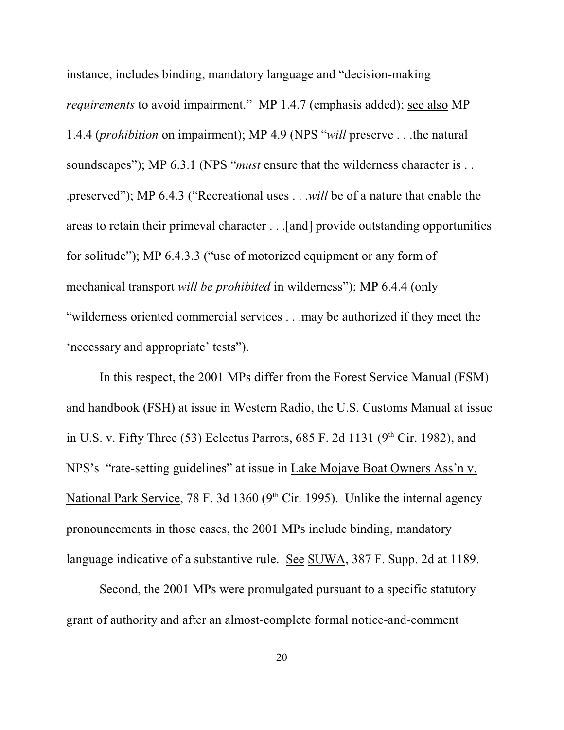instance, includes binding, mandatory language and "decision-making *requirements* to avoid impairment." MP 1.4.7 (emphasis added); see also MP 1.4.4 (*prohibition* on impairment); MP 4.9 (NPS "*will* preserve . . .the natural soundscapes"); MP 6.3.1 (NPS "*must* ensure that the wilderness character is . . .preserved"); MP 6.4.3 ("Recreational uses . . .*will* be of a nature that enable the areas to retain their primeval character . . .[and] provide outstanding opportunities for solitude"); MP 6.4.3.3 ("use of motorized equipment or any form of mechanical transport *will be prohibited* in wilderness"); MP 6.4.4 (only "wilderness oriented commercial services . . .may be authorized if they meet the 'necessary and appropriate' tests").

In this respect, the 2001 MPs differ from the Forest Service Manual (FSM) and handbook (FSH) at issue in Western Radio, the U.S. Customs Manual at issue in U.S. v. Fifty Three (53) Eclectus Parrots,  $685$  F. 2d 1131 (9<sup>th</sup> Cir. 1982), and NPS's "rate-setting guidelines" at issue in Lake Mojave Boat Owners Ass'n v. National Park Service, 78 F. 3d 1360 ( $9<sup>th</sup>$  Cir. 1995). Unlike the internal agency pronouncements in those cases, the 2001 MPs include binding, mandatory language indicative of a substantive rule. See SUWA, 387 F. Supp. 2d at 1189.

Second, the 2001 MPs were promulgated pursuant to a specific statutory grant of authority and after an almost-complete formal notice-and-comment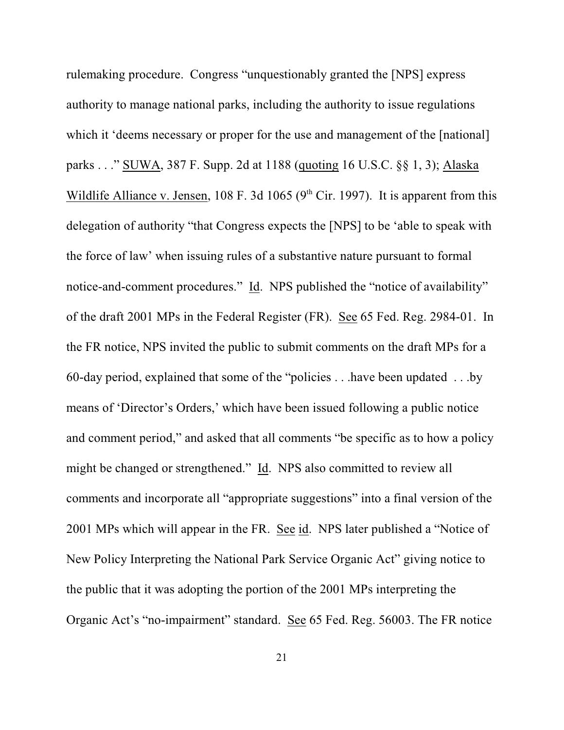rulemaking procedure. Congress "unquestionably granted the [NPS] express authority to manage national parks, including the authority to issue regulations which it 'deems necessary or proper for the use and management of the [national] parks . . ." SUWA, 387 F. Supp. 2d at 1188 (quoting 16 U.S.C. §§ 1, 3); Alaska Wildlife Alliance v. Jensen, 108 F. 3d 1065 ( $9<sup>th</sup>$  Cir. 1997). It is apparent from this delegation of authority "that Congress expects the [NPS] to be 'able to speak with the force of law' when issuing rules of a substantive nature pursuant to formal notice-and-comment procedures." Id. NPS published the "notice of availability" of the draft 2001 MPs in the Federal Register (FR). See 65 Fed. Reg. 2984-01. In the FR notice, NPS invited the public to submit comments on the draft MPs for a 60-day period, explained that some of the "policies . . .have been updated . . .by means of 'Director's Orders,' which have been issued following a public notice and comment period," and asked that all comments "be specific as to how a policy might be changed or strengthened." Id. NPS also committed to review all comments and incorporate all "appropriate suggestions" into a final version of the 2001 MPs which will appear in the FR. See id. NPS later published a "Notice of New Policy Interpreting the National Park Service Organic Act" giving notice to the public that it was adopting the portion of the 2001 MPs interpreting the Organic Act's "no-impairment" standard. See 65 Fed. Reg. 56003. The FR notice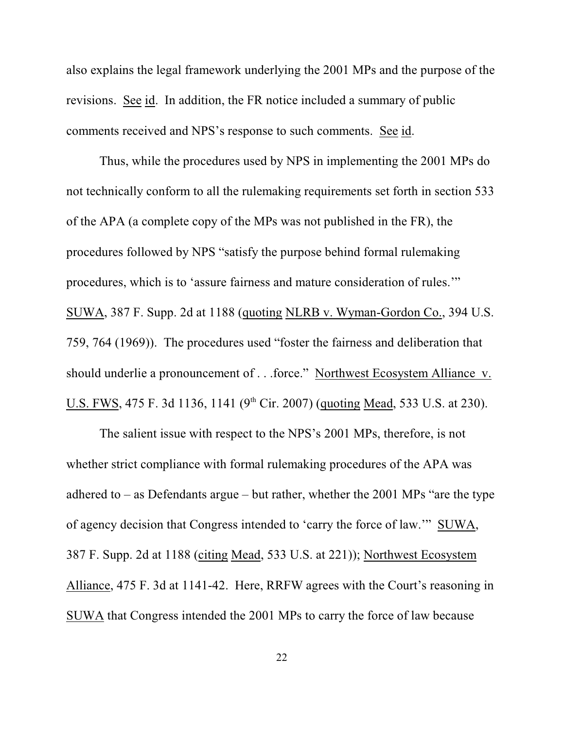also explains the legal framework underlying the 2001 MPs and the purpose of the revisions. See id. In addition, the FR notice included a summary of public comments received and NPS's response to such comments. See id.

Thus, while the procedures used by NPS in implementing the 2001 MPs do not technically conform to all the rulemaking requirements set forth in section 533 of the APA (a complete copy of the MPs was not published in the FR), the procedures followed by NPS "satisfy the purpose behind formal rulemaking procedures, which is to 'assure fairness and mature consideration of rules.'" SUWA, 387 F. Supp. 2d at 1188 (quoting NLRB v. Wyman-Gordon Co., 394 U.S. 759, 764 (1969)). The procedures used "foster the fairness and deliberation that should underlie a pronouncement of . . .force." Northwest Ecosystem Alliance v. U.S. FWS, 475 F. 3d 1136, 1141 (9<sup>th</sup> Cir. 2007) (quoting Mead, 533 U.S. at 230).

The salient issue with respect to the NPS's 2001 MPs, therefore, is not whether strict compliance with formal rulemaking procedures of the APA was adhered to – as Defendants argue – but rather, whether the 2001 MPs "are the type of agency decision that Congress intended to 'carry the force of law.'" SUWA, 387 F. Supp. 2d at 1188 (citing Mead, 533 U.S. at 221)); Northwest Ecosystem Alliance, 475 F. 3d at 1141-42. Here, RRFW agrees with the Court's reasoning in SUWA that Congress intended the 2001 MPs to carry the force of law because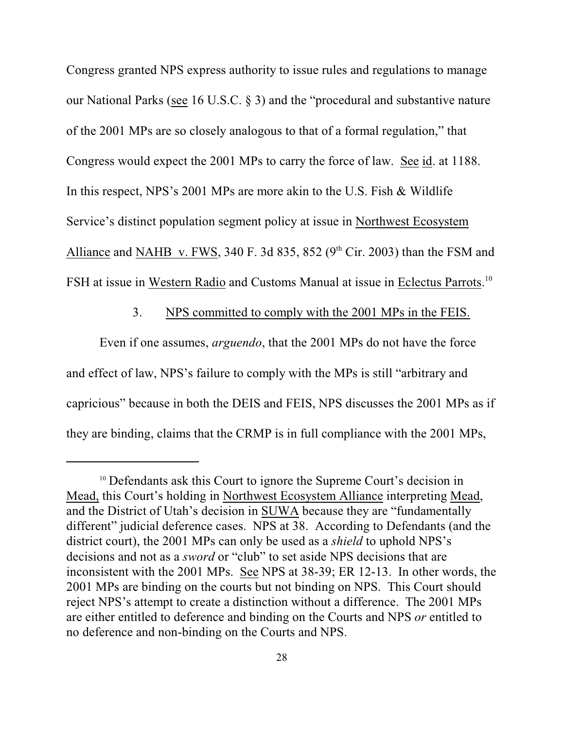Congress granted NPS express authority to issue rules and regulations to manage our National Parks (see 16 U.S.C. § 3) and the "procedural and substantive nature of the 2001 MPs are so closely analogous to that of a formal regulation," that Congress would expect the 2001 MPs to carry the force of law. See id. at 1188. In this respect, NPS's 2001 MPs are more akin to the U.S. Fish & Wildlife Service's distinct population segment policy at issue in Northwest Ecosystem Alliance and NAHB v. FWS, 340 F. 3d 835, 852 ( $9<sup>th</sup>$  Cir. 2003) than the FSM and FSH at issue in Western Radio and Customs Manual at issue in Eclectus Parrots.<sup>10</sup>

#### 3. NPS committed to comply with the 2001 MPs in the FEIS.

Even if one assumes, *arguendo*, that the 2001 MPs do not have the force and effect of law, NPS's failure to comply with the MPs is still "arbitrary and capricious" because in both the DEIS and FEIS, NPS discusses the 2001 MPs as if they are binding, claims that the CRMP is in full compliance with the 2001 MPs,

 $10$  Defendants ask this Court to ignore the Supreme Court's decision in Mead, this Court's holding in Northwest Ecosystem Alliance interpreting Mead, and the District of Utah's decision in SUWA because they are "fundamentally different" judicial deference cases. NPS at 38. According to Defendants (and the district court), the 2001 MPs can only be used as a *shield* to uphold NPS's decisions and not as a *sword* or "club" to set aside NPS decisions that are inconsistent with the 2001 MPs. See NPS at 38-39; ER 12-13. In other words, the 2001 MPs are binding on the courts but not binding on NPS. This Court should reject NPS's attempt to create a distinction without a difference. The 2001 MPs are either entitled to deference and binding on the Courts and NPS *or* entitled to no deference and non-binding on the Courts and NPS.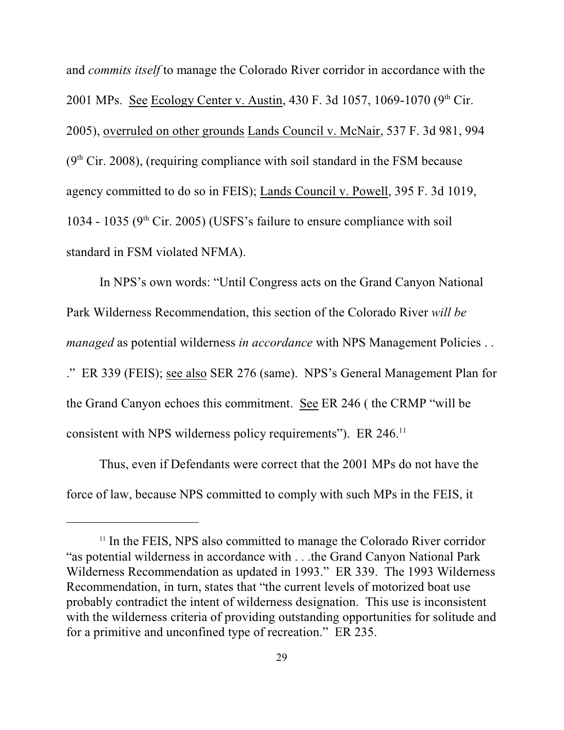and *commits itself* to manage the Colorado River corridor in accordance with the 2001 MPs. See Ecology Center v. Austin, 430 F. 3d 1057, 1069-1070 (9<sup>th</sup> Cir. 2005), overruled on other grounds Lands Council v. McNair, 537 F. 3d 981, 994  $(9<sup>th</sup> Cir. 2008)$ , (requiring compliance with soil standard in the FSM because agency committed to do so in FEIS); Lands Council v. Powell, 395 F. 3d 1019, 1034 - 1035 ( $9<sup>th</sup>$  Cir. 2005) (USFS's failure to ensure compliance with soil standard in FSM violated NFMA).

In NPS's own words: "Until Congress acts on the Grand Canyon National Park Wilderness Recommendation, this section of the Colorado River *will be managed* as potential wilderness *in accordance* with NPS Management Policies . . ." ER 339 (FEIS); see also SER 276 (same). NPS's General Management Plan for the Grand Canyon echoes this commitment. See ER 246 ( the CRMP "will be consistent with NPS wilderness policy requirements"). ER 246.<sup>11</sup>

Thus, even if Defendants were correct that the 2001 MPs do not have the force of law, because NPS committed to comply with such MPs in the FEIS, it

<sup>&</sup>lt;sup>11</sup> In the FEIS, NPS also committed to manage the Colorado River corridor "as potential wilderness in accordance with . . .the Grand Canyon National Park Wilderness Recommendation as updated in 1993." ER 339. The 1993 Wilderness Recommendation, in turn, states that "the current levels of motorized boat use probably contradict the intent of wilderness designation. This use is inconsistent with the wilderness criteria of providing outstanding opportunities for solitude and for a primitive and unconfined type of recreation." ER 235.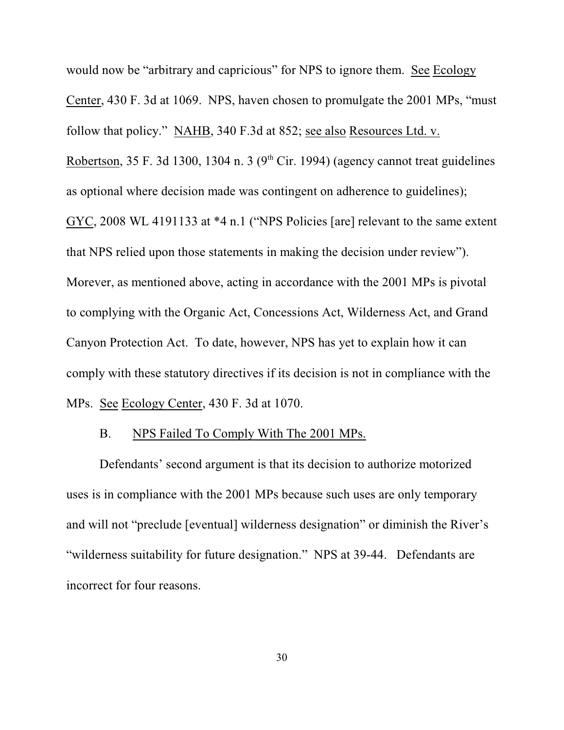would now be "arbitrary and capricious" for NPS to ignore them. See Ecology Center, 430 F. 3d at 1069. NPS, haven chosen to promulgate the 2001 MPs, "must follow that policy." NAHB, 340 F.3d at 852; see also Resources Ltd. v. Robertson, 35 F. 3d 1300, 1304 n. 3 ( $9<sup>th</sup>$  Cir. 1994) (agency cannot treat guidelines as optional where decision made was contingent on adherence to guidelines); GYC, 2008 WL 4191133 at \*4 n.1 ("NPS Policies [are] relevant to the same extent that NPS relied upon those statements in making the decision under review"). Morever, as mentioned above, acting in accordance with the 2001 MPs is pivotal to complying with the Organic Act, Concessions Act, Wilderness Act, and Grand Canyon Protection Act. To date, however, NPS has yet to explain how it can comply with these statutory directives if its decision is not in compliance with the MPs. See Ecology Center, 430 F. 3d at 1070.

#### B. NPS Failed To Comply With The 2001 MPs.

Defendants' second argument is that its decision to authorize motorized uses is in compliance with the 2001 MPs because such uses are only temporary and will not "preclude [eventual] wilderness designation" or diminish the River's "wilderness suitability for future designation." NPS at 39-44. Defendants are incorrect for four reasons.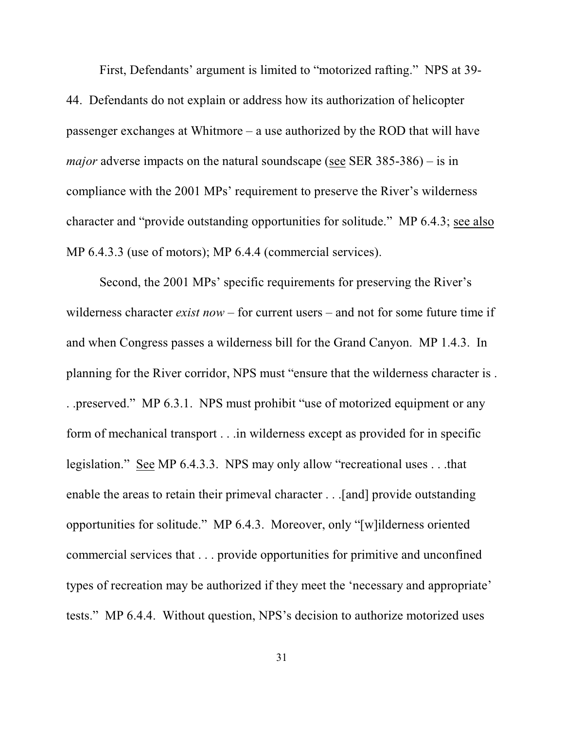First, Defendants' argument is limited to "motorized rafting." NPS at 39- 44. Defendants do not explain or address how its authorization of helicopter passenger exchanges at Whitmore – a use authorized by the ROD that will have *major* adverse impacts on the natural soundscape (see SER 385-386) – is in compliance with the 2001 MPs' requirement to preserve the River's wilderness character and "provide outstanding opportunities for solitude." MP 6.4.3; see also MP 6.4.3.3 (use of motors); MP 6.4.4 (commercial services).

Second, the 2001 MPs' specific requirements for preserving the River's wilderness character *exist now* – for current users – and not for some future time if and when Congress passes a wilderness bill for the Grand Canyon. MP 1.4.3. In planning for the River corridor, NPS must "ensure that the wilderness character is . . .preserved." MP 6.3.1. NPS must prohibit "use of motorized equipment or any form of mechanical transport . . .in wilderness except as provided for in specific legislation." See MP 6.4.3.3. NPS may only allow "recreational uses . . .that enable the areas to retain their primeval character . . .[and] provide outstanding opportunities for solitude." MP 6.4.3. Moreover, only "[w]ilderness oriented commercial services that . . . provide opportunities for primitive and unconfined types of recreation may be authorized if they meet the 'necessary and appropriate' tests." MP 6.4.4. Without question, NPS's decision to authorize motorized uses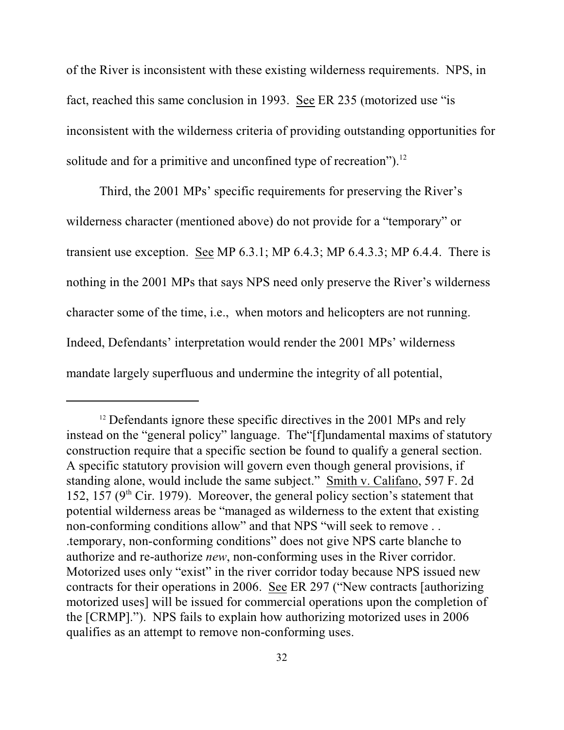of the River is inconsistent with these existing wilderness requirements. NPS, in fact, reached this same conclusion in 1993. See ER 235 (motorized use "is inconsistent with the wilderness criteria of providing outstanding opportunities for solitude and for a primitive and unconfined type of recreation"). $^{12}$ 

Third, the 2001 MPs' specific requirements for preserving the River's wilderness character (mentioned above) do not provide for a "temporary" or transient use exception. See MP 6.3.1; MP 6.4.3; MP 6.4.3.3; MP 6.4.4. There is nothing in the 2001 MPs that says NPS need only preserve the River's wilderness character some of the time, i.e., when motors and helicopters are not running. Indeed, Defendants' interpretation would render the 2001 MPs' wilderness mandate largely superfluous and undermine the integrity of all potential,

<sup>&</sup>lt;sup>12</sup> Defendants ignore these specific directives in the 2001 MPs and rely instead on the "general policy" language. The"[f]undamental maxims of statutory construction require that a specific section be found to qualify a general section. A specific statutory provision will govern even though general provisions, if standing alone, would include the same subject." Smith v. Califano, 597 F. 2d 152, 157 ( $9<sup>th</sup>$  Cir. 1979). Moreover, the general policy section's statement that potential wilderness areas be "managed as wilderness to the extent that existing non-conforming conditions allow" and that NPS "will seek to remove . . .temporary, non-conforming conditions" does not give NPS carte blanche to authorize and re-authorize *new*, non-conforming uses in the River corridor. Motorized uses only "exist" in the river corridor today because NPS issued new contracts for their operations in 2006. See ER 297 ("New contracts [authorizing motorized uses] will be issued for commercial operations upon the completion of the [CRMP]."). NPS fails to explain how authorizing motorized uses in 2006 qualifies as an attempt to remove non-conforming uses.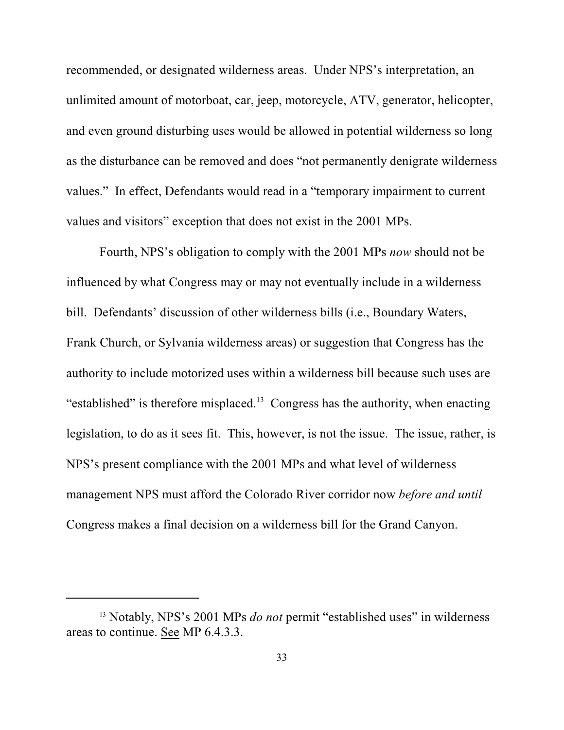recommended, or designated wilderness areas. Under NPS's interpretation, an unlimited amount of motorboat, car, jeep, motorcycle, ATV, generator, helicopter, and even ground disturbing uses would be allowed in potential wilderness so long as the disturbance can be removed and does "not permanently denigrate wilderness values." In effect, Defendants would read in a "temporary impairment to current values and visitors" exception that does not exist in the 2001 MPs.

Fourth, NPS's obligation to comply with the 2001 MPs *now* should not be influenced by what Congress may or may not eventually include in a wilderness bill. Defendants' discussion of other wilderness bills (i.e., Boundary Waters, Frank Church, or Sylvania wilderness areas) or suggestion that Congress has the authority to include motorized uses within a wilderness bill because such uses are "established" is therefore misplaced.<sup>13</sup> Congress has the authority, when enacting legislation, to do as it sees fit. This, however, is not the issue. The issue, rather, is NPS's present compliance with the 2001 MPs and what level of wilderness management NPS must afford the Colorado River corridor now *before and until* Congress makes a final decision on a wilderness bill for the Grand Canyon.

<sup>&</sup>lt;sup>13</sup> Notably, NPS's 2001 MPs *do not* permit "established uses" in wilderness areas to continue. See MP 6.4.3.3.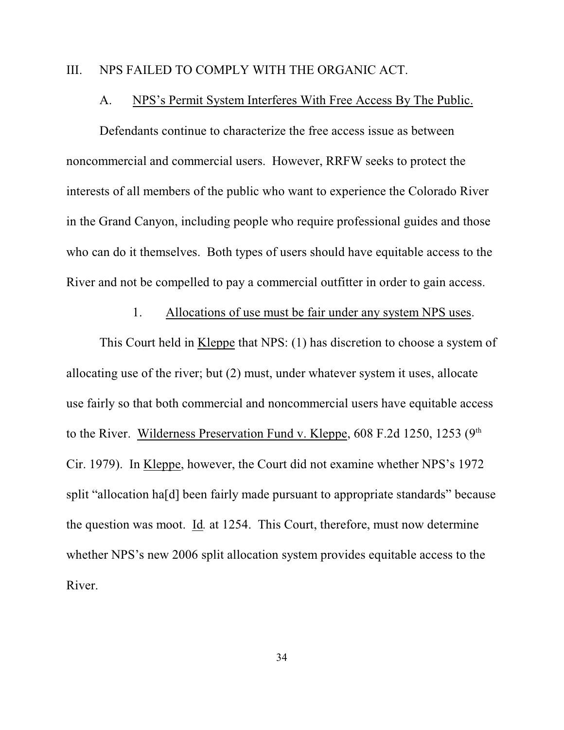### III. NPS FAILED TO COMPLY WITH THE ORGANIC ACT.

#### A. NPS's Permit System Interferes With Free Access By The Public.

Defendants continue to characterize the free access issue as between noncommercial and commercial users. However, RRFW seeks to protect the interests of all members of the public who want to experience the Colorado River in the Grand Canyon, including people who require professional guides and those who can do it themselves. Both types of users should have equitable access to the River and not be compelled to pay a commercial outfitter in order to gain access.

### 1. Allocations of use must be fair under any system NPS uses.

This Court held in Kleppe that NPS: (1) has discretion to choose a system of allocating use of the river; but (2) must, under whatever system it uses, allocate use fairly so that both commercial and noncommercial users have equitable access to the River. Wilderness Preservation Fund v. Kleppe,  $608$  F.2d 1250, 1253 ( $9<sup>th</sup>$ Cir. 1979). In Kleppe, however, the Court did not examine whether NPS's 1972 split "allocation ha[d] been fairly made pursuant to appropriate standards" because the question was moot. Id*.* at 1254. This Court, therefore, must now determine whether NPS's new 2006 split allocation system provides equitable access to the River.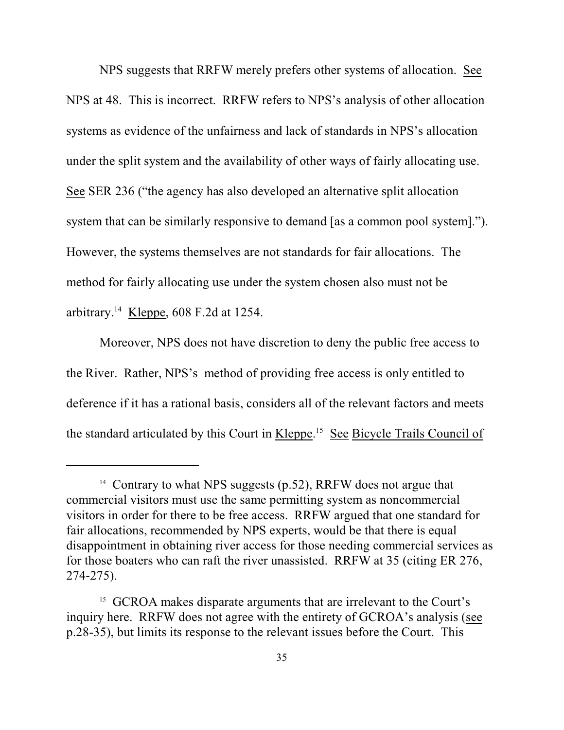NPS suggests that RRFW merely prefers other systems of allocation. See NPS at 48. This is incorrect. RRFW refers to NPS's analysis of other allocation systems as evidence of the unfairness and lack of standards in NPS's allocation under the split system and the availability of other ways of fairly allocating use. See SER 236 ("the agency has also developed an alternative split allocation system that can be similarly responsive to demand [as a common pool system]."). However, the systems themselves are not standards for fair allocations. The method for fairly allocating use under the system chosen also must not be arbitrary.<sup>14</sup> Kleppe, 608 F.2d at 1254.

Moreover, NPS does not have discretion to deny the public free access to the River. Rather, NPS's method of providing free access is only entitled to deference if it has a rational basis, considers all of the relevant factors and meets the standard articulated by this Court in Kleppe.<sup>15</sup> See Bicycle Trails Council of

<sup>&</sup>lt;sup>14</sup> Contrary to what NPS suggests  $(p.52)$ , RRFW does not argue that commercial visitors must use the same permitting system as noncommercial visitors in order for there to be free access. RRFW argued that one standard for fair allocations, recommended by NPS experts, would be that there is equal disappointment in obtaining river access for those needing commercial services as for those boaters who can raft the river unassisted. RRFW at 35 (citing ER 276, 274-275).

<sup>&</sup>lt;sup>15</sup> GCROA makes disparate arguments that are irrelevant to the Court's inquiry here. RRFW does not agree with the entirety of GCROA's analysis (see p.28-35), but limits its response to the relevant issues before the Court. This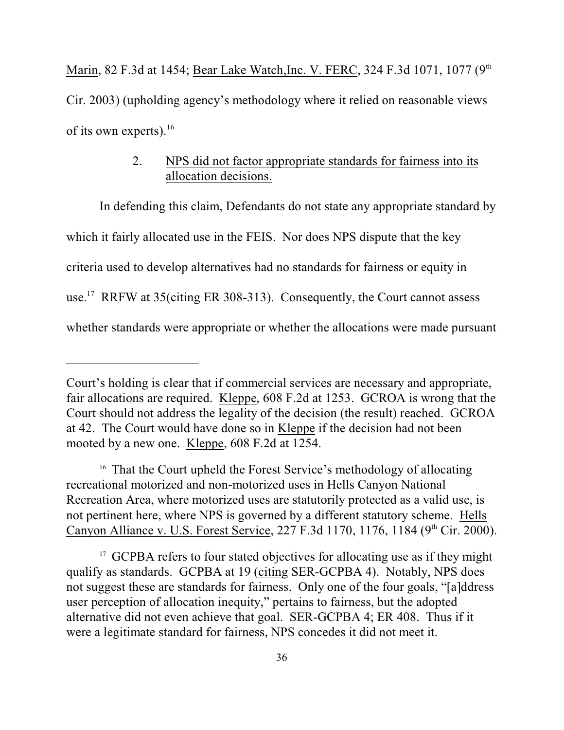Marin, 82 F.3d at 1454; Bear Lake Watch, Inc. V. FERC, 324 F.3d 1071, 1077 (9<sup>th</sup>) Cir. 2003) (upholding agency's methodology where it relied on reasonable views of its own experts). $16$ 

### 2. NPS did not factor appropriate standards for fairness into its allocation decisions.

In defending this claim, Defendants do not state any appropriate standard by which it fairly allocated use in the FEIS. Nor does NPS dispute that the key criteria used to develop alternatives had no standards for fairness or equity in use.<sup>17</sup> RRFW at 35(citing ER 308-313). Consequently, the Court cannot assess whether standards were appropriate or whether the allocations were made pursuant

<sup>16</sup> That the Court upheld the Forest Service's methodology of allocating recreational motorized and non-motorized uses in Hells Canyon National Recreation Area, where motorized uses are statutorily protected as a valid use, is not pertinent here, where NPS is governed by a different statutory scheme. Hells Canyon Alliance v. U.S. Forest Service, 227 F.3d 1170, 1176, 1184 (9<sup>th</sup> Cir. 2000).

Court's holding is clear that if commercial services are necessary and appropriate, fair allocations are required. Kleppe, 608 F.2d at 1253. GCROA is wrong that the Court should not address the legality of the decision (the result) reached. GCROA at 42. The Court would have done so in Kleppe if the decision had not been mooted by a new one. Kleppe, 608 F.2d at 1254.

<sup>&</sup>lt;sup>17</sup> GCPBA refers to four stated objectives for allocating use as if they might qualify as standards. GCPBA at 19 (citing SER-GCPBA 4). Notably, NPS does not suggest these are standards for fairness. Only one of the four goals, "[a]ddress user perception of allocation inequity," pertains to fairness, but the adopted alternative did not even achieve that goal. SER-GCPBA 4; ER 408. Thus if it were a legitimate standard for fairness, NPS concedes it did not meet it.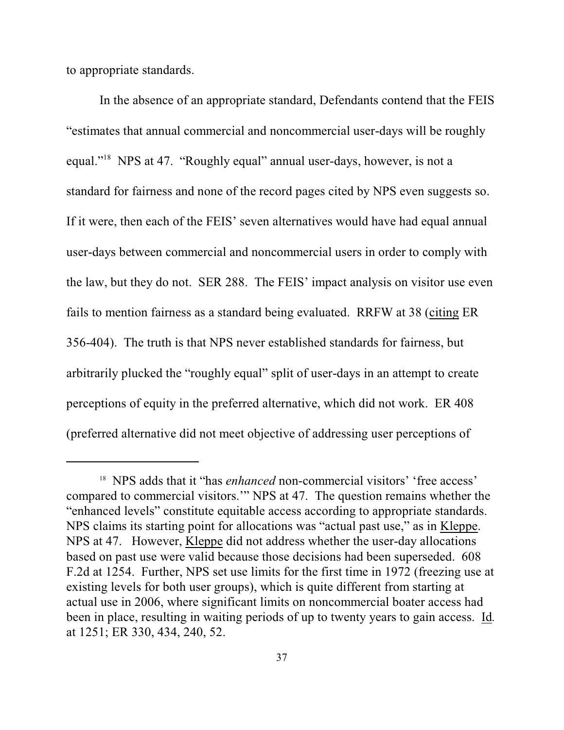to appropriate standards.

In the absence of an appropriate standard, Defendants contend that the FEIS "estimates that annual commercial and noncommercial user-days will be roughly equal."<sup>18</sup> NPS at 47. "Roughly equal" annual user-days, however, is not a standard for fairness and none of the record pages cited by NPS even suggests so. If it were, then each of the FEIS' seven alternatives would have had equal annual user-days between commercial and noncommercial users in order to comply with the law, but they do not. SER 288. The FEIS' impact analysis on visitor use even fails to mention fairness as a standard being evaluated. RRFW at 38 (citing ER 356-404). The truth is that NPS never established standards for fairness, but arbitrarily plucked the "roughly equal" split of user-days in an attempt to create perceptions of equity in the preferred alternative, which did not work. ER 408 (preferred alternative did not meet objective of addressing user perceptions of

<sup>&</sup>lt;sup>18</sup> NPS adds that it "has *enhanced* non-commercial visitors' 'free access' compared to commercial visitors.'" NPS at 47. The question remains whether the "enhanced levels" constitute equitable access according to appropriate standards. NPS claims its starting point for allocations was "actual past use," as in Kleppe. NPS at 47. However, Kleppe did not address whether the user-day allocations based on past use were valid because those decisions had been superseded. 608 F.2d at 1254. Further, NPS set use limits for the first time in 1972 (freezing use at existing levels for both user groups), which is quite different from starting at actual use in 2006, where significant limits on noncommercial boater access had been in place, resulting in waiting periods of up to twenty years to gain access. Id*.* at 1251; ER 330, 434, 240, 52.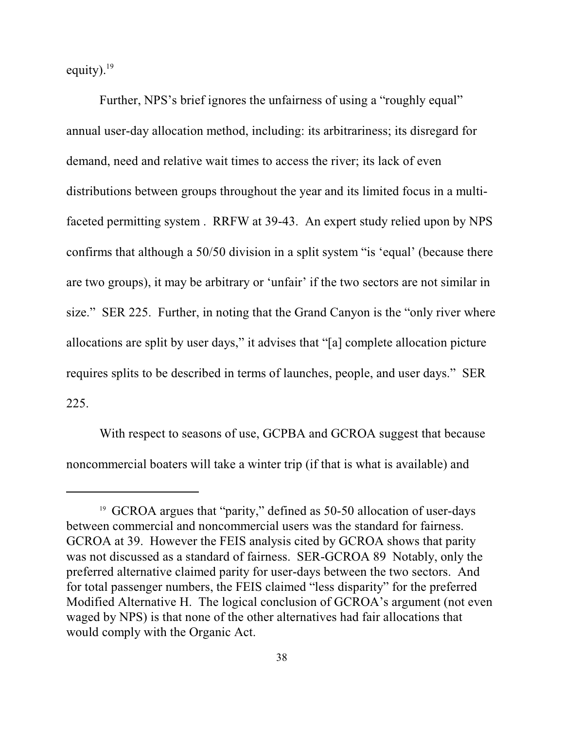equity). $19$ 

Further, NPS's brief ignores the unfairness of using a "roughly equal" annual user-day allocation method, including: its arbitrariness; its disregard for demand, need and relative wait times to access the river; its lack of even distributions between groups throughout the year and its limited focus in a multifaceted permitting system . RRFW at 39-43. An expert study relied upon by NPS confirms that although a 50/50 division in a split system "is 'equal' (because there are two groups), it may be arbitrary or 'unfair' if the two sectors are not similar in size." SER 225. Further, in noting that the Grand Canyon is the "only river where allocations are split by user days," it advises that "[a] complete allocation picture requires splits to be described in terms of launches, people, and user days." SER 225.

With respect to seasons of use, GCPBA and GCROA suggest that because noncommercial boaters will take a winter trip (if that is what is available) and

<sup>&</sup>lt;sup>19</sup> GCROA argues that "parity," defined as 50-50 allocation of user-days between commercial and noncommercial users was the standard for fairness. GCROA at 39. However the FEIS analysis cited by GCROA shows that parity was not discussed as a standard of fairness. SER-GCROA 89 Notably, only the preferred alternative claimed parity for user-days between the two sectors. And for total passenger numbers, the FEIS claimed "less disparity" for the preferred Modified Alternative H. The logical conclusion of GCROA's argument (not even waged by NPS) is that none of the other alternatives had fair allocations that would comply with the Organic Act.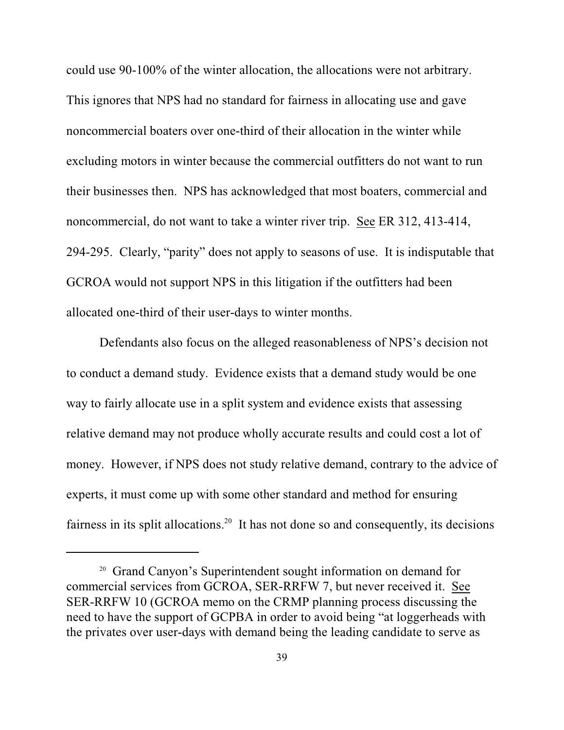could use 90-100% of the winter allocation, the allocations were not arbitrary. This ignores that NPS had no standard for fairness in allocating use and gave noncommercial boaters over one-third of their allocation in the winter while excluding motors in winter because the commercial outfitters do not want to run their businesses then. NPS has acknowledged that most boaters, commercial and noncommercial, do not want to take a winter river trip. See ER 312, 413-414, 294-295. Clearly, "parity" does not apply to seasons of use. It is indisputable that GCROA would not support NPS in this litigation if the outfitters had been allocated one-third of their user-days to winter months.

Defendants also focus on the alleged reasonableness of NPS's decision not to conduct a demand study. Evidence exists that a demand study would be one way to fairly allocate use in a split system and evidence exists that assessing relative demand may not produce wholly accurate results and could cost a lot of money. However, if NPS does not study relative demand, contrary to the advice of experts, it must come up with some other standard and method for ensuring fairness in its split allocations.<sup>20</sup> It has not done so and consequently, its decisions

 $20$  Grand Canyon's Superintendent sought information on demand for commercial services from GCROA, SER-RRFW 7, but never received it. See SER-RRFW 10 (GCROA memo on the CRMP planning process discussing the need to have the support of GCPBA in order to avoid being "at loggerheads with the privates over user-days with demand being the leading candidate to serve as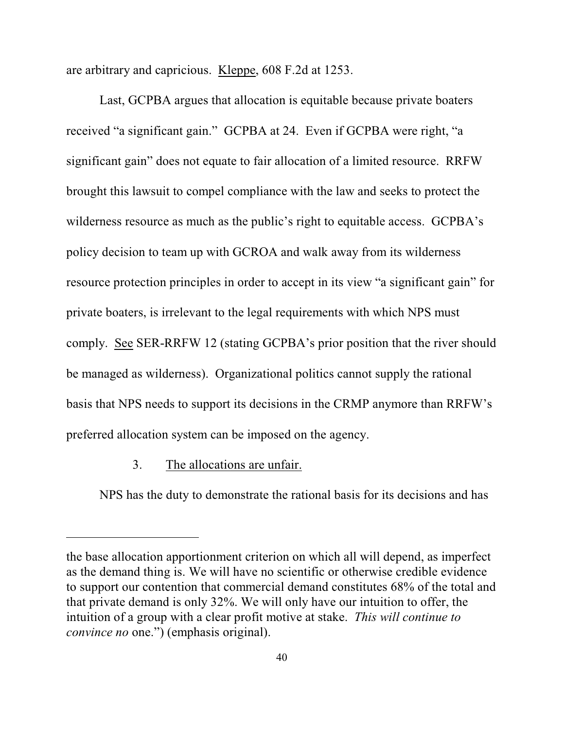are arbitrary and capricious. Kleppe, 608 F.2d at 1253.

Last, GCPBA argues that allocation is equitable because private boaters received "a significant gain." GCPBA at 24. Even if GCPBA were right, "a significant gain" does not equate to fair allocation of a limited resource. RRFW brought this lawsuit to compel compliance with the law and seeks to protect the wilderness resource as much as the public's right to equitable access. GCPBA's policy decision to team up with GCROA and walk away from its wilderness resource protection principles in order to accept in its view "a significant gain" for private boaters, is irrelevant to the legal requirements with which NPS must comply. See SER-RRFW 12 (stating GCPBA's prior position that the river should be managed as wilderness). Organizational politics cannot supply the rational basis that NPS needs to support its decisions in the CRMP anymore than RRFW's preferred allocation system can be imposed on the agency.

### 3. The allocations are unfair.

NPS has the duty to demonstrate the rational basis for its decisions and has

the base allocation apportionment criterion on which all will depend, as imperfect as the demand thing is. We will have no scientific or otherwise credible evidence to support our contention that commercial demand constitutes 68% of the total and that private demand is only 32%. We will only have our intuition to offer, the intuition of a group with a clear profit motive at stake. *This will continue to convince no* one.") (emphasis original).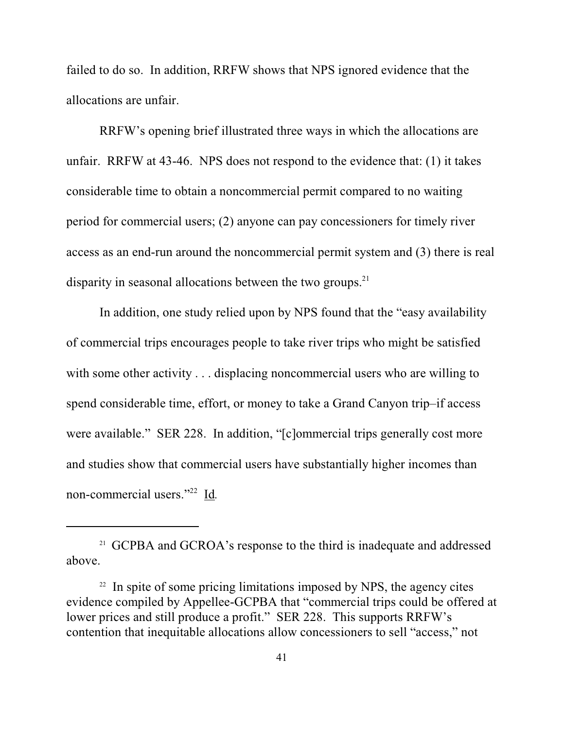failed to do so. In addition, RRFW shows that NPS ignored evidence that the allocations are unfair.

RRFW's opening brief illustrated three ways in which the allocations are unfair. RRFW at 43-46. NPS does not respond to the evidence that: (1) it takes considerable time to obtain a noncommercial permit compared to no waiting period for commercial users; (2) anyone can pay concessioners for timely river access as an end-run around the noncommercial permit system and (3) there is real disparity in seasonal allocations between the two groups.<sup>21</sup>

In addition, one study relied upon by NPS found that the "easy availability of commercial trips encourages people to take river trips who might be satisfied with some other activity . . . displacing noncommercial users who are willing to spend considerable time, effort, or money to take a Grand Canyon trip–if access were available." SER 228. In addition, "[c]ommercial trips generally cost more and studies show that commercial users have substantially higher incomes than non-commercial users."<sup>22</sup> Id.

 $21$  GCPBA and GCROA's response to the third is inadequate and addressed above.

 $22$  In spite of some pricing limitations imposed by NPS, the agency cites evidence compiled by Appellee-GCPBA that "commercial trips could be offered at lower prices and still produce a profit." SER 228. This supports RRFW's contention that inequitable allocations allow concessioners to sell "access," not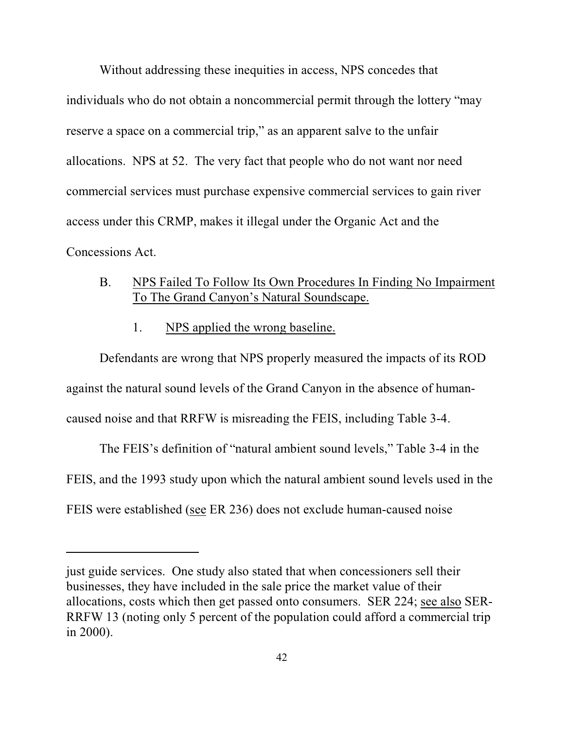Without addressing these inequities in access, NPS concedes that individuals who do not obtain a noncommercial permit through the lottery "may reserve a space on a commercial trip," as an apparent salve to the unfair allocations. NPS at 52. The very fact that people who do not want nor need commercial services must purchase expensive commercial services to gain river access under this CRMP, makes it illegal under the Organic Act and the Concessions Act.

- B. NPS Failed To Follow Its Own Procedures In Finding No Impairment To The Grand Canyon's Natural Soundscape.
	- 1. NPS applied the wrong baseline.

Defendants are wrong that NPS properly measured the impacts of its ROD against the natural sound levels of the Grand Canyon in the absence of humancaused noise and that RRFW is misreading the FEIS, including Table 3-4.

The FEIS's definition of "natural ambient sound levels," Table 3-4 in the FEIS, and the 1993 study upon which the natural ambient sound levels used in the FEIS were established (see ER 236) does not exclude human-caused noise

just guide services. One study also stated that when concessioners sell their businesses, they have included in the sale price the market value of their allocations, costs which then get passed onto consumers. SER 224; see also SER-RRFW 13 (noting only 5 percent of the population could afford a commercial trip in 2000).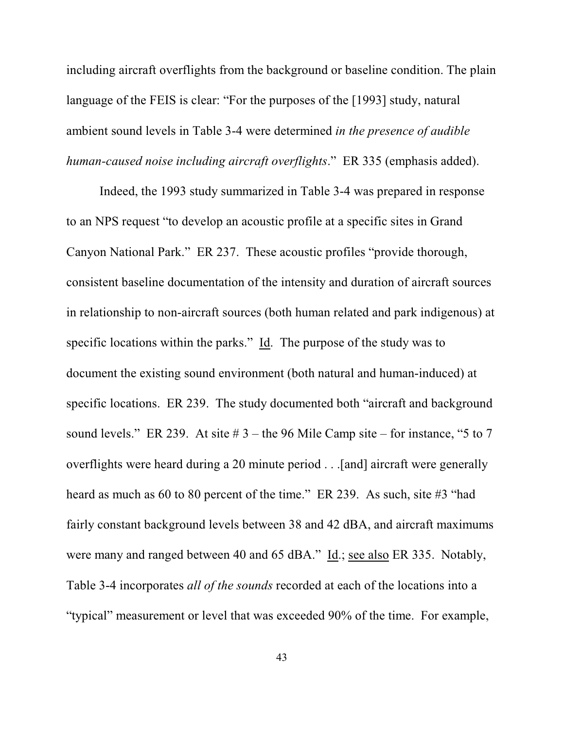including aircraft overflights from the background or baseline condition. The plain language of the FEIS is clear: "For the purposes of the [1993] study, natural ambient sound levels in Table 3-4 were determined *in the presence of audible human-caused noise including aircraft overflights*." ER 335 (emphasis added).

Indeed, the 1993 study summarized in Table 3-4 was prepared in response to an NPS request "to develop an acoustic profile at a specific sites in Grand Canyon National Park." ER 237. These acoustic profiles "provide thorough, consistent baseline documentation of the intensity and duration of aircraft sources in relationship to non-aircraft sources (both human related and park indigenous) at specific locations within the parks." Id. The purpose of the study was to document the existing sound environment (both natural and human-induced) at specific locations. ER 239. The study documented both "aircraft and background sound levels." ER 239. At site  $# 3$  – the 96 Mile Camp site – for instance, "5 to 7 overflights were heard during a 20 minute period . . .[and] aircraft were generally heard as much as 60 to 80 percent of the time." ER 239. As such, site #3 "had fairly constant background levels between 38 and 42 dBA, and aircraft maximums were many and ranged between 40 and 65 dBA." Id.; see also ER 335. Notably, Table 3-4 incorporates *all of the sounds* recorded at each of the locations into a "typical" measurement or level that was exceeded 90% of the time. For example,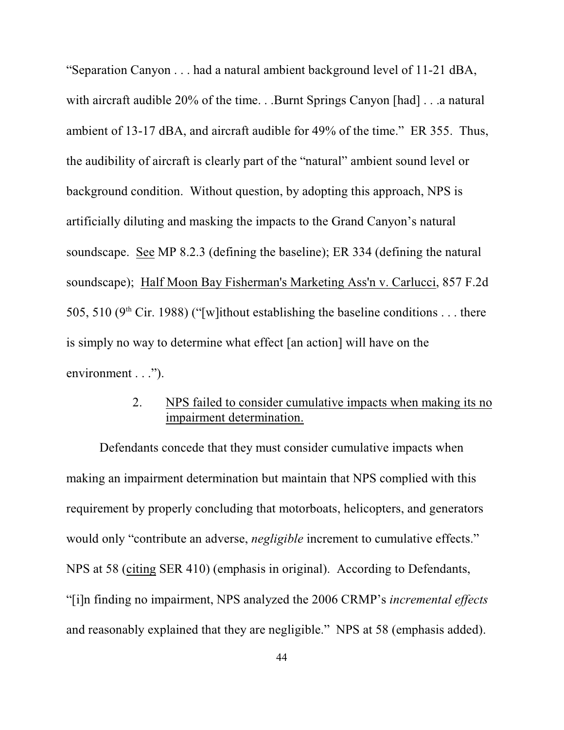"Separation Canyon . . . had a natural ambient background level of 11-21 dBA, with aircraft audible 20% of the time. . .Burnt Springs Canyon [had] . . .a natural ambient of 13-17 dBA, and aircraft audible for 49% of the time." ER 355. Thus, the audibility of aircraft is clearly part of the "natural" ambient sound level or background condition. Without question, by adopting this approach, NPS is artificially diluting and masking the impacts to the Grand Canyon's natural soundscape. See MP 8.2.3 (defining the baseline); ER 334 (defining the natural soundscape); Half Moon Bay Fisherman's Marketing Ass'n v. Carlucci, 857 F.2d 505, 510 ( $9<sup>th</sup>$  Cir. 1988) ("[w]ithout establishing the baseline conditions ... there is simply no way to determine what effect [an action] will have on the environment . . .").

# 2. NPS failed to consider cumulative impacts when making its no impairment determination.

Defendants concede that they must consider cumulative impacts when making an impairment determination but maintain that NPS complied with this requirement by properly concluding that motorboats, helicopters, and generators would only "contribute an adverse, *negligible* increment to cumulative effects." NPS at 58 (citing SER 410) (emphasis in original). According to Defendants, "[i]n finding no impairment, NPS analyzed the 2006 CRMP's *incremental effects* and reasonably explained that they are negligible." NPS at 58 (emphasis added).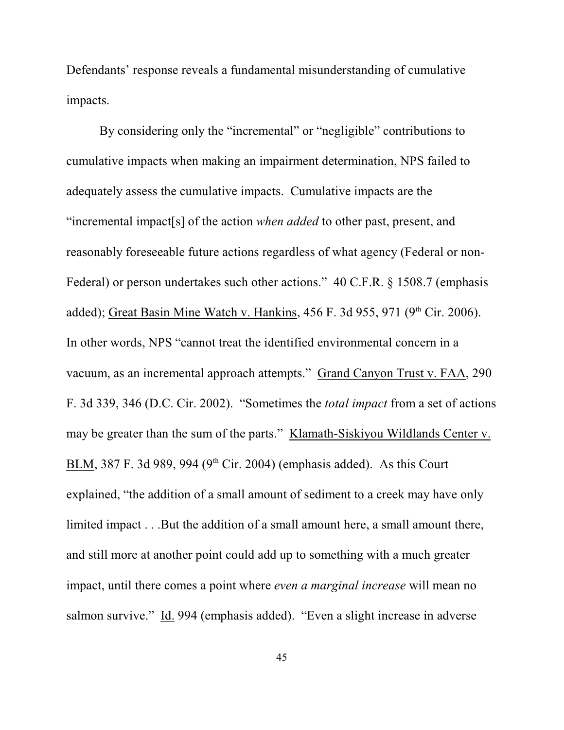Defendants' response reveals a fundamental misunderstanding of cumulative impacts.

By considering only the "incremental" or "negligible" contributions to cumulative impacts when making an impairment determination, NPS failed to adequately assess the cumulative impacts. Cumulative impacts are the "incremental impact[s] of the action *when added* to other past, present, and reasonably foreseeable future actions regardless of what agency (Federal or non-Federal) or person undertakes such other actions." 40 C.F.R. § 1508.7 (emphasis added); Great Basin Mine Watch v. Hankins,  $456$  F. 3d  $955$ ,  $971$  ( $9<sup>th</sup>$  Cir. 2006). In other words, NPS "cannot treat the identified environmental concern in a vacuum, as an incremental approach attempts." Grand Canyon Trust v. FAA, 290 F. 3d 339, 346 (D.C. Cir. 2002). "Sometimes the *total impact* from a set of actions may be greater than the sum of the parts." Klamath-Siskiyou Wildlands Center v. BLM, 387 F. 3d 989, 994 (9<sup>th</sup> Cir. 2004) (emphasis added). As this Court explained, "the addition of a small amount of sediment to a creek may have only limited impact . . .But the addition of a small amount here, a small amount there, and still more at another point could add up to something with a much greater impact, until there comes a point where *even a marginal increase* will mean no salmon survive." Id. 994 (emphasis added). "Even a slight increase in adverse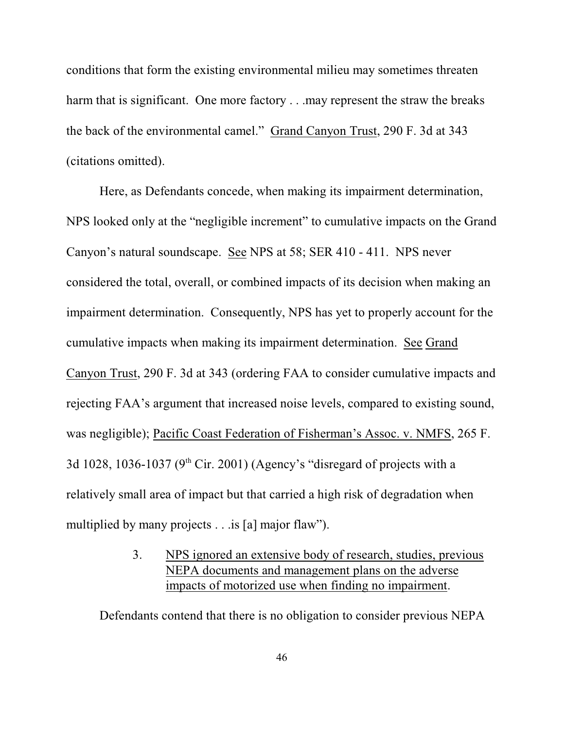conditions that form the existing environmental milieu may sometimes threaten harm that is significant. One more factory . . .may represent the straw the breaks the back of the environmental camel." Grand Canyon Trust, 290 F. 3d at 343 (citations omitted).

Here, as Defendants concede, when making its impairment determination, NPS looked only at the "negligible increment" to cumulative impacts on the Grand Canyon's natural soundscape. See NPS at 58; SER 410 - 411. NPS never considered the total, overall, or combined impacts of its decision when making an impairment determination. Consequently, NPS has yet to properly account for the cumulative impacts when making its impairment determination. See Grand Canyon Trust, 290 F. 3d at 343 (ordering FAA to consider cumulative impacts and rejecting FAA's argument that increased noise levels, compared to existing sound, was negligible); Pacific Coast Federation of Fisherman's Assoc. v. NMFS, 265 F. 3d 1028, 1036-1037 ( $9<sup>th</sup>$  Cir. 2001) (Agency's "disregard of projects with a relatively small area of impact but that carried a high risk of degradation when multiplied by many projects . . .is [a] major flaw").

> 3. NPS ignored an extensive body of research, studies, previous NEPA documents and management plans on the adverse impacts of motorized use when finding no impairment.

Defendants contend that there is no obligation to consider previous NEPA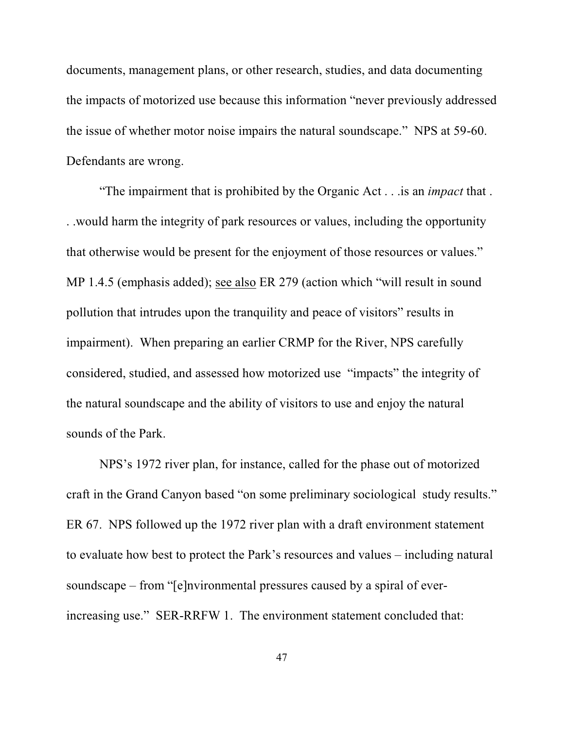documents, management plans, or other research, studies, and data documenting the impacts of motorized use because this information "never previously addressed the issue of whether motor noise impairs the natural soundscape." NPS at 59-60. Defendants are wrong.

"The impairment that is prohibited by the Organic Act . . .is an *impact* that . . .would harm the integrity of park resources or values, including the opportunity that otherwise would be present for the enjoyment of those resources or values." MP 1.4.5 (emphasis added); see also ER 279 (action which "will result in sound pollution that intrudes upon the tranquility and peace of visitors" results in impairment). When preparing an earlier CRMP for the River, NPS carefully considered, studied, and assessed how motorized use "impacts" the integrity of the natural soundscape and the ability of visitors to use and enjoy the natural sounds of the Park.

NPS's 1972 river plan, for instance, called for the phase out of motorized craft in the Grand Canyon based "on some preliminary sociological study results." ER 67. NPS followed up the 1972 river plan with a draft environment statement to evaluate how best to protect the Park's resources and values – including natural soundscape – from "[e]nvironmental pressures caused by a spiral of everincreasing use." SER-RRFW 1. The environment statement concluded that: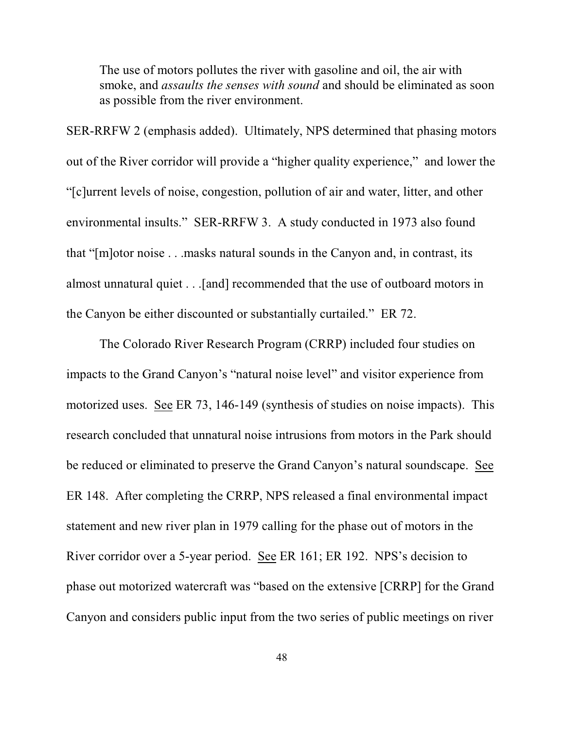The use of motors pollutes the river with gasoline and oil, the air with smoke, and *assaults the senses with sound* and should be eliminated as soon as possible from the river environment.

SER-RRFW 2 (emphasis added). Ultimately, NPS determined that phasing motors out of the River corridor will provide a "higher quality experience," and lower the "[c]urrent levels of noise, congestion, pollution of air and water, litter, and other environmental insults." SER-RRFW 3.A study conducted in 1973 also found that "[m]otor noise . . .masks natural sounds in the Canyon and, in contrast, its almost unnatural quiet . . .[and] recommended that the use of outboard motors in the Canyon be either discounted or substantially curtailed." ER 72.

The Colorado River Research Program (CRRP) included four studies on impacts to the Grand Canyon's "natural noise level" and visitor experience from motorized uses. See ER 73, 146-149 (synthesis of studies on noise impacts). This research concluded that unnatural noise intrusions from motors in the Park should be reduced or eliminated to preserve the Grand Canyon's natural soundscape. See ER 148. After completing the CRRP, NPS released a final environmental impact statement and new river plan in 1979 calling for the phase out of motors in the River corridor over a 5-year period. See ER 161; ER 192. NPS's decision to phase out motorized watercraft was "based on the extensive [CRRP] for the Grand Canyon and considers public input from the two series of public meetings on river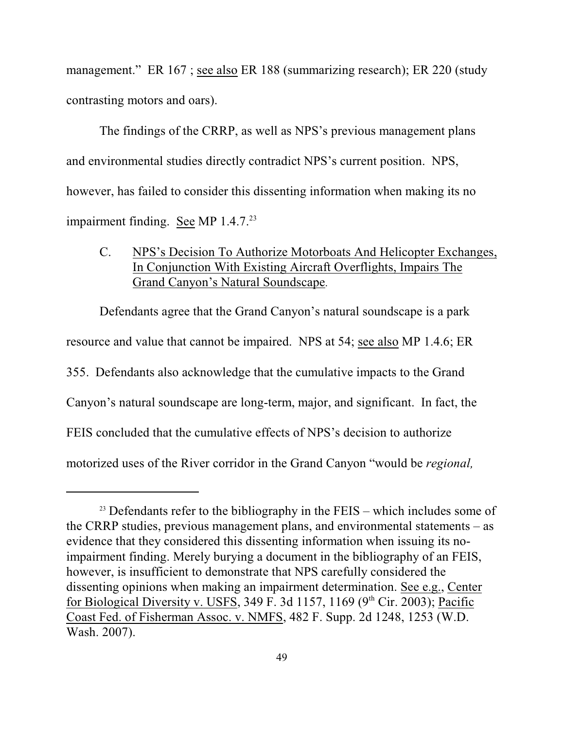management." ER 167; see also ER 188 (summarizing research); ER 220 (study contrasting motors and oars).

The findings of the CRRP, as well as NPS's previous management plans and environmental studies directly contradict NPS's current position. NPS, however, has failed to consider this dissenting information when making its no impairment finding. See MP 1.4.7.<sup>23</sup>

C. NPS's Decision To Authorize Motorboats And Helicopter Exchanges, In Conjunction With Existing Aircraft Overflights, Impairs The Grand Canyon's Natural Soundscape.

Defendants agree that the Grand Canyon's natural soundscape is a park resource and value that cannot be impaired. NPS at 54; see also MP 1.4.6; ER 355. Defendants also acknowledge that the cumulative impacts to the Grand Canyon's natural soundscape are long-term, major, and significant. In fact, the FEIS concluded that the cumulative effects of NPS's decision to authorize motorized uses of the River corridor in the Grand Canyon "would be *regional,*

 $23$  Defendants refer to the bibliography in the FEIS – which includes some of the CRRP studies, previous management plans, and environmental statements – as evidence that they considered this dissenting information when issuing its noimpairment finding. Merely burying a document in the bibliography of an FEIS, however, is insufficient to demonstrate that NPS carefully considered the dissenting opinions when making an impairment determination. See e.g., Center for Biological Diversity v. USFS, 349 F. 3d 1157, 1169 ( $9<sup>th</sup>$  Cir. 2003); Pacific Coast Fed. of Fisherman Assoc. v. NMFS, 482 F. Supp. 2d 1248, 1253 (W.D. Wash. 2007).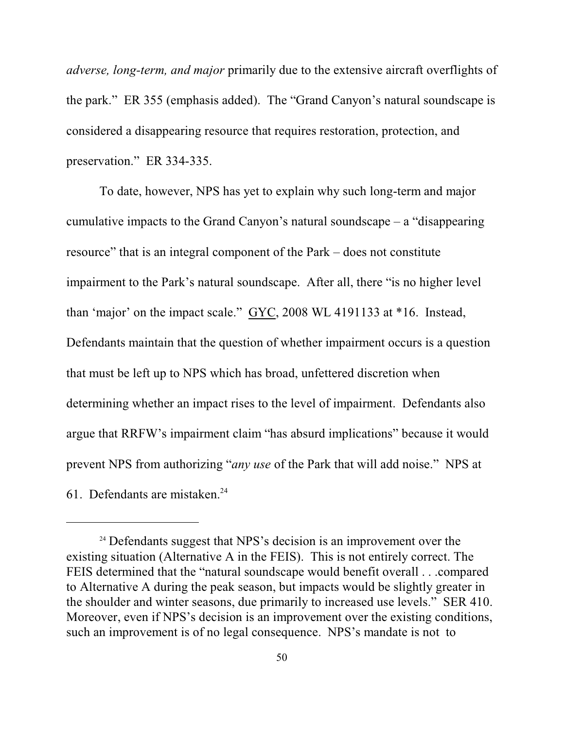*adverse, long-term, and major* primarily due to the extensive aircraft overflights of the park." ER 355 (emphasis added). The "Grand Canyon's natural soundscape is considered a disappearing resource that requires restoration, protection, and preservation." ER 334-335.

To date, however, NPS has yet to explain why such long-term and major cumulative impacts to the Grand Canyon's natural soundscape – a "disappearing resource" that is an integral component of the Park – does not constitute impairment to the Park's natural soundscape. After all, there "is no higher level than 'major' on the impact scale." GYC, 2008 WL 4191133 at \*16. Instead, Defendants maintain that the question of whether impairment occurs is a question that must be left up to NPS which has broad, unfettered discretion when determining whether an impact rises to the level of impairment. Defendants also argue that RRFW's impairment claim "has absurd implications" because it would prevent NPS from authorizing "*any use* of the Park that will add noise." NPS at 61. Defendants are mistaken. 24

 $24$  Defendants suggest that NPS's decision is an improvement over the existing situation (Alternative A in the FEIS). This is not entirely correct. The FEIS determined that the "natural soundscape would benefit overall . . .compared to Alternative A during the peak season, but impacts would be slightly greater in the shoulder and winter seasons, due primarily to increased use levels." SER 410. Moreover, even if NPS's decision is an improvement over the existing conditions, such an improvement is of no legal consequence. NPS's mandate is not to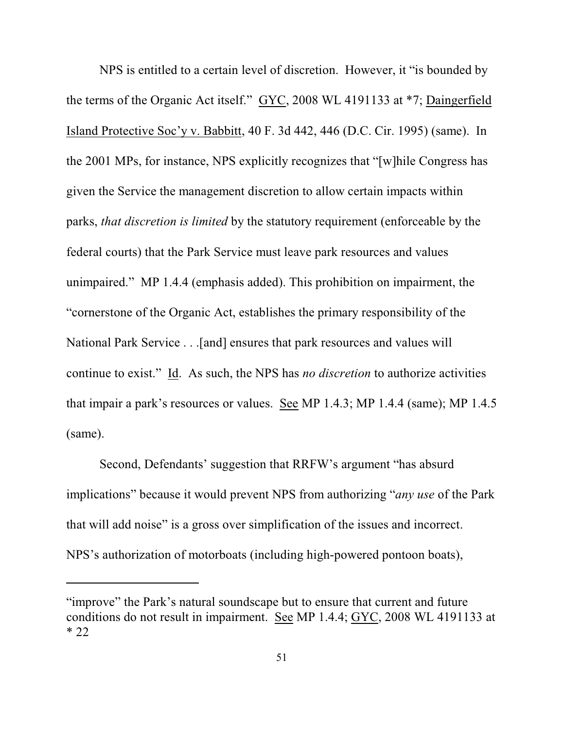NPS is entitled to a certain level of discretion. However, it "is bounded by the terms of the Organic Act itself." GYC, 2008 WL 4191133 at \*7; Daingerfield Island Protective Soc'y v. Babbitt, 40 F. 3d 442, 446 (D.C. Cir. 1995) (same). In the 2001 MPs, for instance, NPS explicitly recognizes that "[w]hile Congress has given the Service the management discretion to allow certain impacts within parks, *that discretion is limited* by the statutory requirement (enforceable by the federal courts) that the Park Service must leave park resources and values unimpaired." MP 1.4.4 (emphasis added). This prohibition on impairment, the "cornerstone of the Organic Act, establishes the primary responsibility of the National Park Service . . .[and] ensures that park resources and values will continue to exist." Id. As such, the NPS has *no discretion* to authorize activities that impair a park's resources or values. See MP 1.4.3; MP 1.4.4 (same); MP 1.4.5 (same).

Second, Defendants' suggestion that RRFW's argument "has absurd implications" because it would prevent NPS from authorizing "*any use* of the Park that will add noise" is a gross over simplification of the issues and incorrect. NPS's authorization of motorboats (including high-powered pontoon boats),

<sup>&</sup>quot;improve" the Park's natural soundscape but to ensure that current and future conditions do not result in impairment. See MP 1.4.4; GYC, 2008 WL 4191133 at \* 22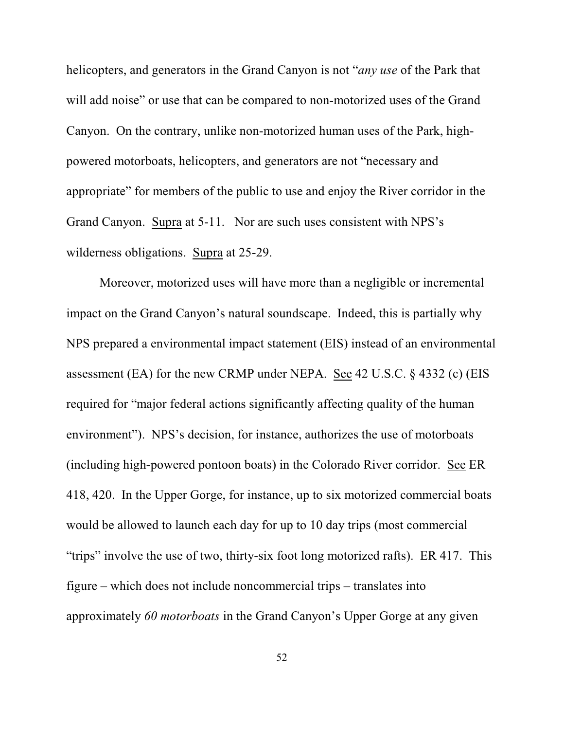helicopters, and generators in the Grand Canyon is not "*any use* of the Park that will add noise" or use that can be compared to non-motorized uses of the Grand Canyon. On the contrary, unlike non-motorized human uses of the Park, highpowered motorboats, helicopters, and generators are not "necessary and appropriate" for members of the public to use and enjoy the River corridor in the Grand Canyon. Supra at 5-11. Nor are such uses consistent with NPS's wilderness obligations. Supra at 25-29.

Moreover, motorized uses will have more than a negligible or incremental impact on the Grand Canyon's natural soundscape. Indeed, this is partially why NPS prepared a environmental impact statement (EIS) instead of an environmental assessment (EA) for the new CRMP under NEPA. See 42 U.S.C. § 4332 (c) (EIS required for "major federal actions significantly affecting quality of the human environment"). NPS's decision, for instance, authorizes the use of motorboats (including high-powered pontoon boats) in the Colorado River corridor. See ER 418, 420. In the Upper Gorge, for instance, up to six motorized commercial boats would be allowed to launch each day for up to 10 day trips (most commercial "trips" involve the use of two, thirty-six foot long motorized rafts). ER 417. This figure – which does not include noncommercial trips – translates into approximately *60 motorboats* in the Grand Canyon's Upper Gorge at any given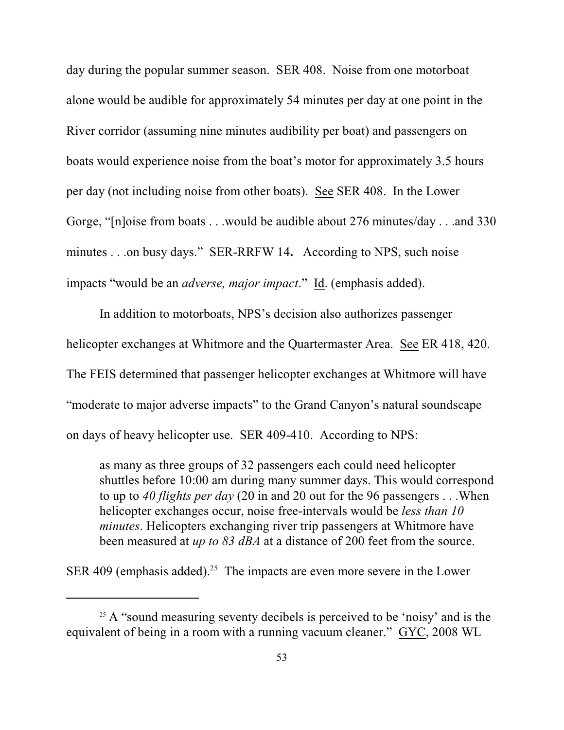day during the popular summer season. SER 408. Noise from one motorboat alone would be audible for approximately 54 minutes per day at one point in the River corridor (assuming nine minutes audibility per boat) and passengers on boats would experience noise from the boat's motor for approximately 3.5 hours per day (not including noise from other boats). See SER 408. In the Lower Gorge, "[n]oise from boats . . .would be audible about 276 minutes/day . . .and 330 minutes . . .on busy days." SER-RRFW 14**.** According to NPS, such noise impacts "would be an *adverse, major impact*." Id. (emphasis added).

In addition to motorboats, NPS's decision also authorizes passenger helicopter exchanges at Whitmore and the Quartermaster Area. See ER 418, 420. The FEIS determined that passenger helicopter exchanges at Whitmore will have "moderate to major adverse impacts" to the Grand Canyon's natural soundscape on days of heavy helicopter use. SER 409-410. According to NPS:

as many as three groups of 32 passengers each could need helicopter shuttles before 10:00 am during many summer days. This would correspond to up to *40 flights per day* (20 in and 20 out for the 96 passengers . . .When helicopter exchanges occur, noise free-intervals would be *less than 10 minutes*. Helicopters exchanging river trip passengers at Whitmore have been measured at *up to 83 dBA* at a distance of 200 feet from the source.

SER 409 (emphasis added).<sup>25</sup> The impacts are even more severe in the Lower

 $25$  A "sound measuring seventy decibels is perceived to be 'noisy' and is the equivalent of being in a room with a running vacuum cleaner." GYC, 2008 WL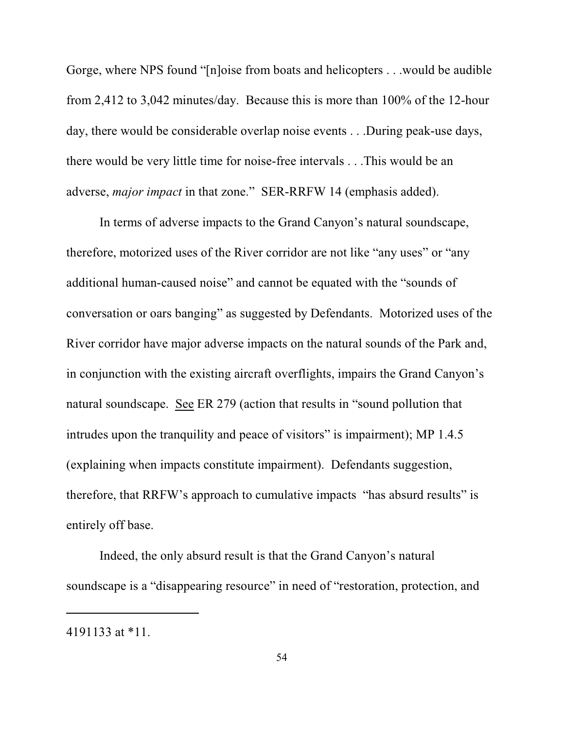Gorge, where NPS found "[n]oise from boats and helicopters . . .would be audible from 2,412 to 3,042 minutes/day. Because this is more than 100% of the 12-hour day, there would be considerable overlap noise events . . .During peak-use days, there would be very little time for noise-free intervals . . .This would be an adverse, *major impact* in that zone." SER-RRFW 14 (emphasis added).

In terms of adverse impacts to the Grand Canyon's natural soundscape, therefore, motorized uses of the River corridor are not like "any uses" or "any additional human-caused noise" and cannot be equated with the "sounds of conversation or oars banging" as suggested by Defendants. Motorized uses of the River corridor have major adverse impacts on the natural sounds of the Park and, in conjunction with the existing aircraft overflights, impairs the Grand Canyon's natural soundscape. See ER 279 (action that results in "sound pollution that intrudes upon the tranquility and peace of visitors" is impairment); MP 1.4.5 (explaining when impacts constitute impairment). Defendants suggestion, therefore, that RRFW's approach to cumulative impacts "has absurd results" is entirely off base.

Indeed, the only absurd result is that the Grand Canyon's natural soundscape is a "disappearing resource" in need of "restoration, protection, and

<sup>4191133</sup> at \*11.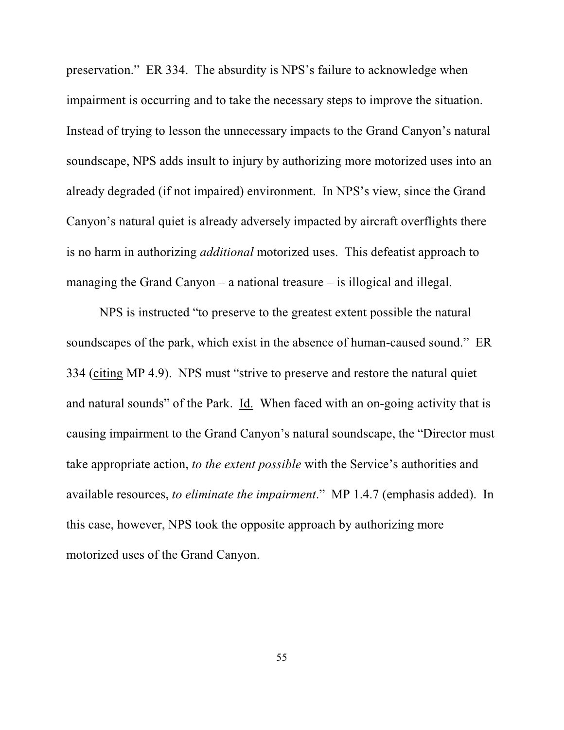preservation." ER 334. The absurdity is NPS's failure to acknowledge when impairment is occurring and to take the necessary steps to improve the situation. Instead of trying to lesson the unnecessary impacts to the Grand Canyon's natural soundscape, NPS adds insult to injury by authorizing more motorized uses into an already degraded (if not impaired) environment. In NPS's view, since the Grand Canyon's natural quiet is already adversely impacted by aircraft overflights there is no harm in authorizing *additional* motorized uses. This defeatist approach to managing the Grand Canyon – a national treasure – is illogical and illegal.

NPS is instructed "to preserve to the greatest extent possible the natural soundscapes of the park, which exist in the absence of human-caused sound." ER 334 (citing MP 4.9). NPS must "strive to preserve and restore the natural quiet and natural sounds" of the Park. Id. When faced with an on-going activity that is causing impairment to the Grand Canyon's natural soundscape, the "Director must take appropriate action, *to the extent possible* with the Service's authorities and available resources, *to eliminate the impairment*." MP 1.4.7 (emphasis added). In this case, however, NPS took the opposite approach by authorizing more motorized uses of the Grand Canyon.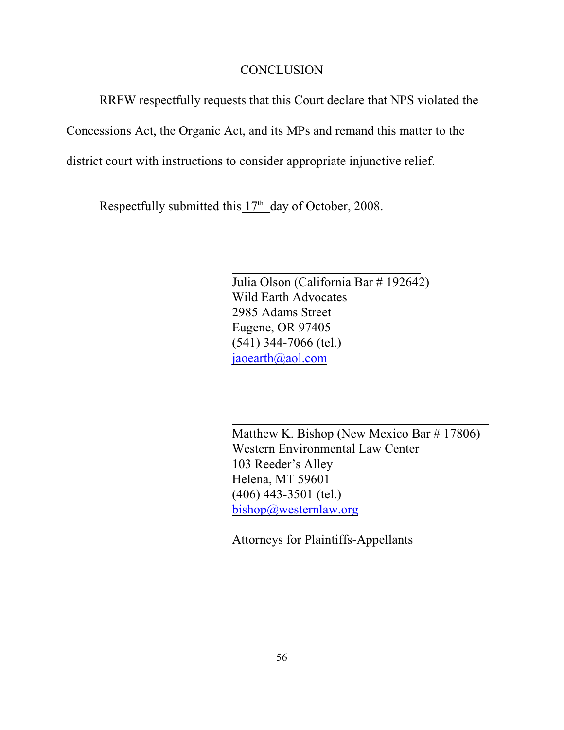### **CONCLUSION**

RRFW respectfully requests that this Court declare that NPS violated the

Concessions Act, the Organic Act, and its MPs and remand this matter to the

district court with instructions to consider appropriate injunctive relief.

Respectfully submitted this  $17<sup>th</sup>$  day of October, 2008.

Julia Olson (California Bar # 192642) Wild Earth Advocates 2985 Adams Street Eugene, OR 97405 (541) 344-7066 (tel.) [jaoearth@aol.com](mailto:jaoearth@aol.com)

Matthew K. Bishop (New Mexico Bar # 17806) Western Environmental Law Center 103 Reeder's Alley Helena, MT 59601 (406) 443-3501 (tel.) [bishop@westernlaw.org](mailto:bishop@westernlaw.org)

Attorneys for Plaintiffs-Appellants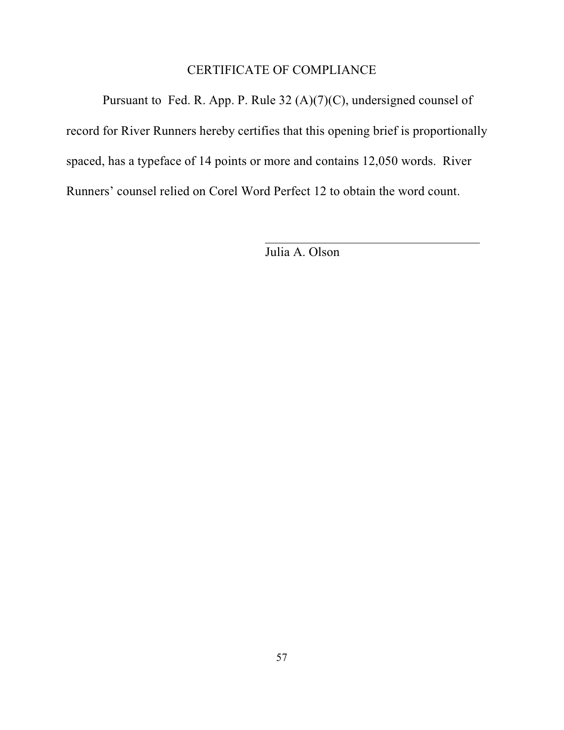# CERTIFICATE OF COMPLIANCE

 Pursuant to Fed. R. App. P. Rule 32 (A)(7)(C), undersigned counsel of record for River Runners hereby certifies that this opening brief is proportionally spaced, has a typeface of 14 points or more and contains 12,050 words. River Runners' counsel relied on Corel Word Perfect 12 to obtain the word count.

Julia A. Olson